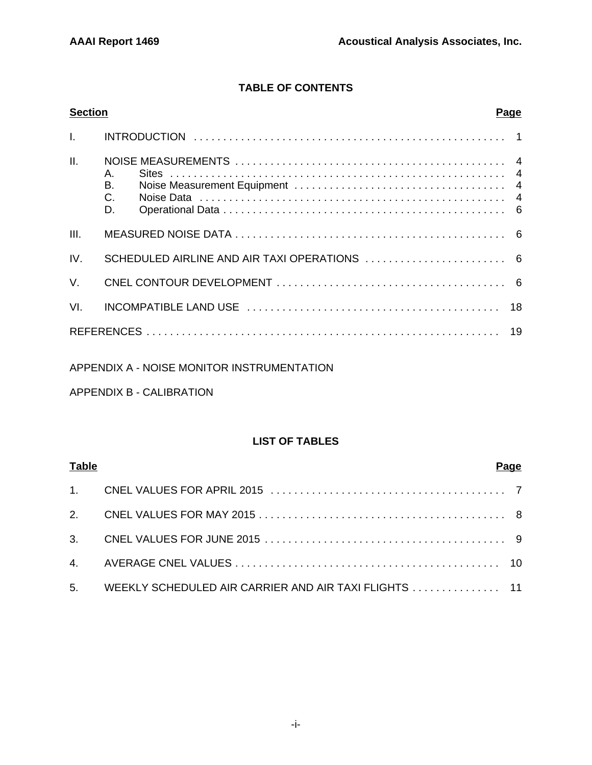# **TABLE OF CONTENTS**

| <b>Section</b> |                               | <b>Page</b> |
|----------------|-------------------------------|-------------|
| $\mathbf{L}$   |                               |             |
| II.            | Α.<br>В.<br>$C_{\cdot}$<br>D. |             |
| III.           |                               |             |
| IV.            |                               |             |
| $V_{\cdot}$    |                               |             |
| VI.            |                               |             |
|                |                               |             |

## APPENDIX A - NOISE MONITOR INSTRUMENTATION

APPENDIX B - CALIBRATION

## **LIST OF TABLES**

| <b>Table</b> |                                                          | Page |
|--------------|----------------------------------------------------------|------|
|              |                                                          |      |
|              |                                                          |      |
|              |                                                          |      |
|              |                                                          |      |
|              | 5. WEEKLY SCHEDULED AIR CARRIER AND AIR TAXI FLIGHTS  11 |      |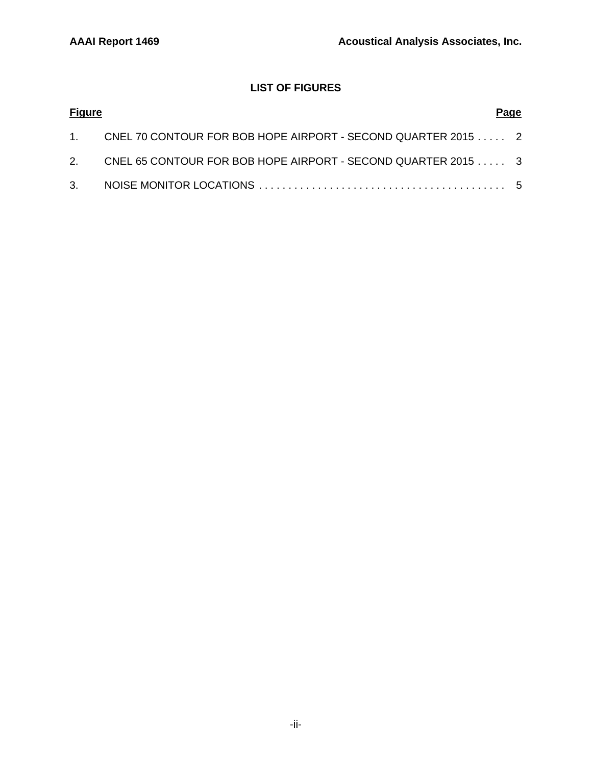# **LIST OF FIGURES**

| <b>Figure</b> |                                                                 | Page |
|---------------|-----------------------------------------------------------------|------|
|               | 1. CNEL 70 CONTOUR FOR BOB HOPE AIRPORT - SECOND QUARTER 2015 2 |      |
|               | 2. CNEL 65 CONTOUR FOR BOB HOPE AIRPORT - SECOND QUARTER 2015 3 |      |
|               |                                                                 |      |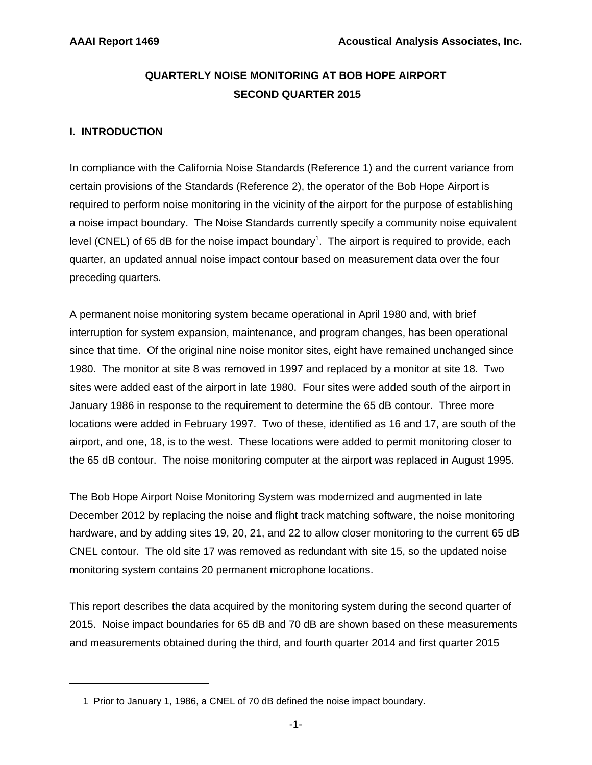# **QUARTERLY NOISE MONITORING AT BOB HOPE AIRPORT SECOND QUARTER 2015**

## **I. INTRODUCTION**

In compliance with the California Noise Standards (Reference 1) and the current variance from certain provisions of the Standards (Reference 2), the operator of the Bob Hope Airport is required to perform noise monitoring in the vicinity of the airport for the purpose of establishing a noise impact boundary. The Noise Standards currently specify a community noise equivalent level (CNEL) of 65 dB for the noise impact boundary<sup>1</sup>. The airport is required to provide, each quarter, an updated annual noise impact contour based on measurement data over the four preceding quarters.

A permanent noise monitoring system became operational in April 1980 and, with brief interruption for system expansion, maintenance, and program changes, has been operational since that time. Of the original nine noise monitor sites, eight have remained unchanged since 1980. The monitor at site 8 was removed in 1997 and replaced by a monitor at site 18. Two sites were added east of the airport in late 1980. Four sites were added south of the airport in January 1986 in response to the requirement to determine the 65 dB contour. Three more locations were added in February 1997. Two of these, identified as 16 and 17, are south of the airport, and one, 18, is to the west. These locations were added to permit monitoring closer to the 65 dB contour. The noise monitoring computer at the airport was replaced in August 1995.

The Bob Hope Airport Noise Monitoring System was modernized and augmented in late December 2012 by replacing the noise and flight track matching software, the noise monitoring hardware, and by adding sites 19, 20, 21, and 22 to allow closer monitoring to the current 65 dB CNEL contour. The old site 17 was removed as redundant with site 15, so the updated noise monitoring system contains 20 permanent microphone locations.

This report describes the data acquired by the monitoring system during the second quarter of 2015. Noise impact boundaries for 65 dB and 70 dB are shown based on these measurements and measurements obtained during the third, and fourth quarter 2014 and first quarter 2015

 <sup>1</sup> Prior to January 1, 1986, a CNEL of 70 dB defined the noise impact boundary.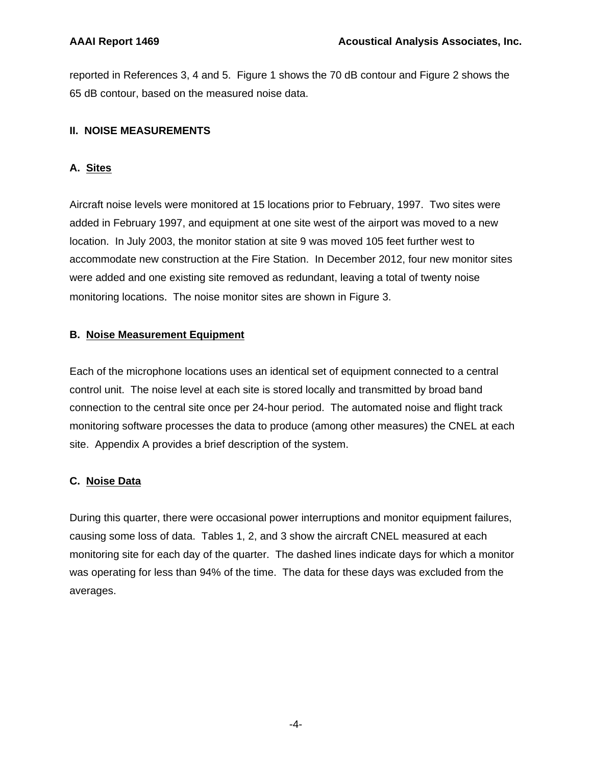reported in References 3, 4 and 5. Figure 1 shows the 70 dB contour and Figure 2 shows the 65 dB contour, based on the measured noise data.

## **II. NOISE MEASUREMENTS**

## **A. Sites**

Aircraft noise levels were monitored at 15 locations prior to February, 1997. Two sites were added in February 1997, and equipment at one site west of the airport was moved to a new location. In July 2003, the monitor station at site 9 was moved 105 feet further west to accommodate new construction at the Fire Station. In December 2012, four new monitor sites were added and one existing site removed as redundant, leaving a total of twenty noise monitoring locations. The noise monitor sites are shown in Figure 3.

## **B. Noise Measurement Equipment**

Each of the microphone locations uses an identical set of equipment connected to a central control unit. The noise level at each site is stored locally and transmitted by broad band connection to the central site once per 24-hour period. The automated noise and flight track monitoring software processes the data to produce (among other measures) the CNEL at each site. Appendix A provides a brief description of the system.

## **C. Noise Data**

During this quarter, there were occasional power interruptions and monitor equipment failures, causing some loss of data. Tables 1, 2, and 3 show the aircraft CNEL measured at each monitoring site for each day of the quarter. The dashed lines indicate days for which a monitor was operating for less than 94% of the time. The data for these days was excluded from the averages.

-4-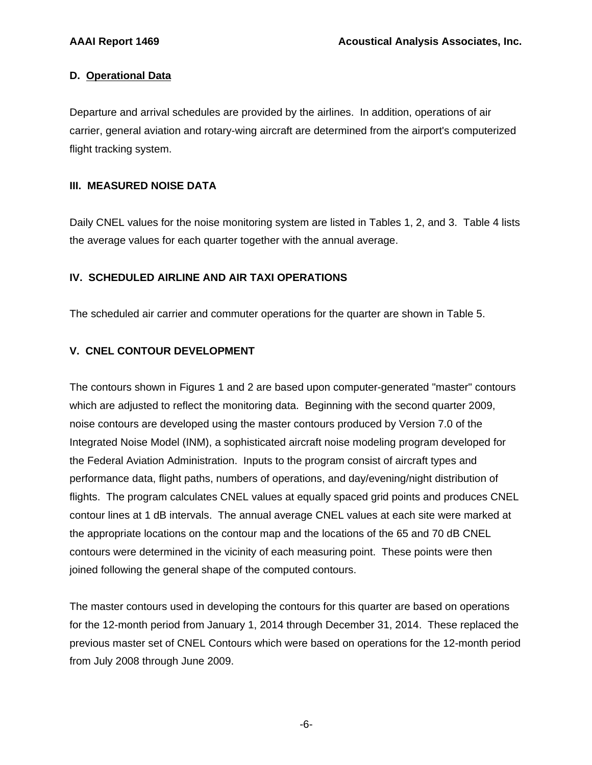## **D. Operational Data**

Departure and arrival schedules are provided by the airlines. In addition, operations of air carrier, general aviation and rotary-wing aircraft are determined from the airport's computerized flight tracking system.

## **III. MEASURED NOISE DATA**

Daily CNEL values for the noise monitoring system are listed in Tables 1, 2, and 3. Table 4 lists the average values for each quarter together with the annual average.

## **IV. SCHEDULED AIRLINE AND AIR TAXI OPERATIONS**

The scheduled air carrier and commuter operations for the quarter are shown in Table 5.

## **V. CNEL CONTOUR DEVELOPMENT**

The contours shown in Figures 1 and 2 are based upon computer-generated "master" contours which are adjusted to reflect the monitoring data. Beginning with the second quarter 2009, noise contours are developed using the master contours produced by Version 7.0 of the Integrated Noise Model (INM), a sophisticated aircraft noise modeling program developed for the Federal Aviation Administration. Inputs to the program consist of aircraft types and performance data, flight paths, numbers of operations, and day/evening/night distribution of flights. The program calculates CNEL values at equally spaced grid points and produces CNEL contour lines at 1 dB intervals. The annual average CNEL values at each site were marked at the appropriate locations on the contour map and the locations of the 65 and 70 dB CNEL contours were determined in the vicinity of each measuring point. These points were then joined following the general shape of the computed contours.

The master contours used in developing the contours for this quarter are based on operations for the 12-month period from January 1, 2014 through December 31, 2014. These replaced the previous master set of CNEL Contours which were based on operations for the 12-month period from July 2008 through June 2009.

-6-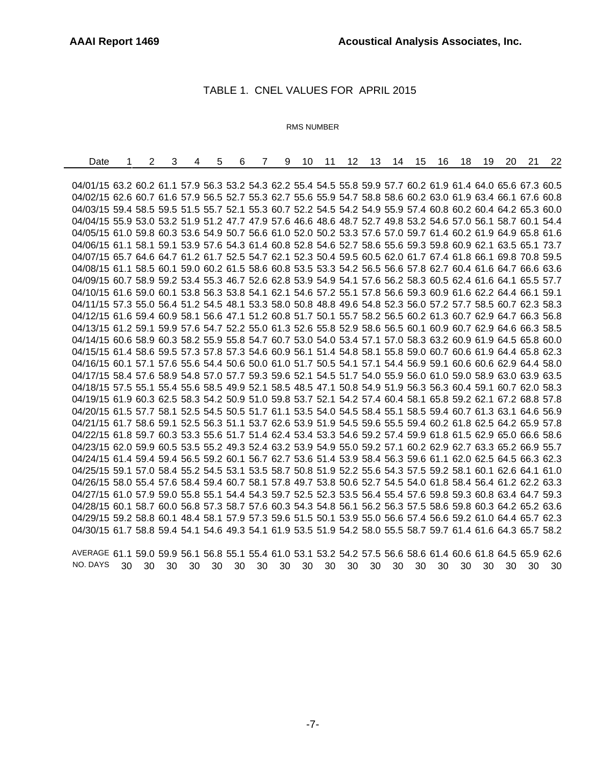## TABLE 1. CNEL VALUES FOR APRIL 2015

#### RMS NUMBER

| Date                                                                                                         | 2 | 3 | 4 | 5 | 6 | 7 | 9 | 10 | 11 | 12 | 13 | 14 | 15 | 16 | 18 | 19 | 20 | 21 | 22 |
|--------------------------------------------------------------------------------------------------------------|---|---|---|---|---|---|---|----|----|----|----|----|----|----|----|----|----|----|----|
|                                                                                                              |   |   |   |   |   |   |   |    |    |    |    |    |    |    |    |    |    |    |    |
| 04/01/15 63.2 60.2 61.1 57.9 56.3 53.2 54.3 62.2 55.4 54.5 55.8 59.9 57.7 60.2 61.9 61.4 64.0 65.6 67.3 60.5 |   |   |   |   |   |   |   |    |    |    |    |    |    |    |    |    |    |    |    |
| 04/02/15 62.6 60.7 61.6 57.9 56.5 52.7 55.3 62.7 55.6 55.9 54.7 58.8 58.6 60.2 63.0 61.9 63.4 66.1 67.6 60.8 |   |   |   |   |   |   |   |    |    |    |    |    |    |    |    |    |    |    |    |
| 04/03/15 59.4 58.5 59.5 51.5 55.7 52.1 55.3 60.7 52.2 54.5 54.2 54.9 55.9 57.4 60.8 60.2 60.4 64.2 65.3 60.0 |   |   |   |   |   |   |   |    |    |    |    |    |    |    |    |    |    |    |    |
| 04/04/15 55.9 53.0 53.2 51.9 51.2 47.7 47.9 57.6 46.6 48.6 48.7 52.7 49.8 53.2 54.6 57.0 56.1 58.7 60.1 54.4 |   |   |   |   |   |   |   |    |    |    |    |    |    |    |    |    |    |    |    |
| 04/05/15 61.0 59.8 60.3 53.6 54.9 50.7 56.6 61.0 52.0 50.2 53.3 57.6 57.0 59.7 61.4 60.2 61.9 64.9 65.8 61.6 |   |   |   |   |   |   |   |    |    |    |    |    |    |    |    |    |    |    |    |
| 04/06/15 61.1 58.1 59.1 53.9 57.6 54.3 61.4 60.8 52.8 54.6 52.7 58.6 55.6 59.3 59.8 60.9 62.1 63.5 65.1 73.7 |   |   |   |   |   |   |   |    |    |    |    |    |    |    |    |    |    |    |    |
| 04/07/15 65.7 64.6 64.7 61.2 61.7 52.5 54.7 62.1 52.3 50.4 59.5 60.5 62.0 61.7 67.4 61.8 66.1 69.8 70.8 59.5 |   |   |   |   |   |   |   |    |    |    |    |    |    |    |    |    |    |    |    |
| 04/08/15 61.1 58.5 60.1 59.0 60.2 61.5 58.6 60.8 53.5 53.3 54.2 56.5 56.6 57.8 62.7 60.4 61.6 64.7 66.6 63.6 |   |   |   |   |   |   |   |    |    |    |    |    |    |    |    |    |    |    |    |
| 04/09/15 60.7 58.9 59.2 53.4 55.3 46.7 52.6 62.8 53.9 54.9 54.1 57.6 56.2 58.3 60.5 62.4 61.6 64.1 65.5 57.7 |   |   |   |   |   |   |   |    |    |    |    |    |    |    |    |    |    |    |    |
| 04/10/15 61.6 59.0 60.1 53.8 56.3 53.8 54.1 62.1 54.6 57.2 55.1 57.8 56.6 59.3 60.9 61.6 62.2 64.4 66.1 59.1 |   |   |   |   |   |   |   |    |    |    |    |    |    |    |    |    |    |    |    |
| 04/11/15 57.3 55.0 56.4 51.2 54.5 48.1 53.3 58.0 50.8 48.8 49.6 54.8 52.3 56.0 57.2 57.7 58.5 60.7 62.3 58.3 |   |   |   |   |   |   |   |    |    |    |    |    |    |    |    |    |    |    |    |
| 04/12/15 61.6 59.4 60.9 58.1 56.6 47.1 51.2 60.8 51.7 50.1 55.7 58.2 56.5 60.2 61.3 60.7 62.9 64.7 66.3 56.8 |   |   |   |   |   |   |   |    |    |    |    |    |    |    |    |    |    |    |    |
| 04/13/15 61.2 59.1 59.9 57.6 54.7 52.2 55.0 61.3 52.6 55.8 52.9 58.6 56.5 60.1 60.9 60.7 62.9 64.6 66.3 58.5 |   |   |   |   |   |   |   |    |    |    |    |    |    |    |    |    |    |    |    |
| 04/14/15 60.6 58.9 60.3 58.2 55.9 55.8 54.7 60.7 53.0 54.0 53.4 57.1 57.0 58.3 63.2 60.9 61.9 64.5 65.8 60.0 |   |   |   |   |   |   |   |    |    |    |    |    |    |    |    |    |    |    |    |
| 04/15/15 61.4 58.6 59.5 57.3 57.8 57.3 54.6 60.9 56.1 51.4 54.8 58.1 55.8 59.0 60.7 60.6 61.9 64.4 65.8 62.3 |   |   |   |   |   |   |   |    |    |    |    |    |    |    |    |    |    |    |    |
| 04/16/15 60.1 57.1 57.6 55.6 54.4 50.6 50.0 61.0 51.7 50.5 54.1 57.1 54.4 56.9 59.1 60.6 60.6 62.9 64.4 58.0 |   |   |   |   |   |   |   |    |    |    |    |    |    |    |    |    |    |    |    |
| 04/17/15 58.4 57.6 58.9 54.8 57.0 57.7 59.3 59.6 52.1 54.5 51.7 54.0 55.9 56.0 61.0 59.0 58.9 63.0 63.9 63.5 |   |   |   |   |   |   |   |    |    |    |    |    |    |    |    |    |    |    |    |
| 04/18/15 57.5 55.1 55.4 55.6 58.5 49.9 52.1 58.5 48.5 47.1 50.8 54.9 51.9 56.3 56.3 60.4 59.1 60.7 62.0 58.3 |   |   |   |   |   |   |   |    |    |    |    |    |    |    |    |    |    |    |    |
| 04/19/15 61.9 60.3 62.5 58.3 54.2 50.9 51.0 59.8 53.7 52.1 54.2 57.4 60.4 58.1 65.8 59.2 62.1 67.2 68.8 57.8 |   |   |   |   |   |   |   |    |    |    |    |    |    |    |    |    |    |    |    |
| 04/20/15 61.5 57.7 58.1 52.5 54.5 50.5 51.7 61.1 53.5 54.0 54.5 58.4 55.1 58.5 59.4 60.7 61.3 63.1 64.6 56.9 |   |   |   |   |   |   |   |    |    |    |    |    |    |    |    |    |    |    |    |
| 04/21/15 61.7 58.6 59.1 52.5 56.3 51.1 53.7 62.6 53.9 51.9 54.5 59.6 55.5 59.4 60.2 61.8 62.5 64.2 65.9 57.8 |   |   |   |   |   |   |   |    |    |    |    |    |    |    |    |    |    |    |    |
| 04/22/15 61.8 59.7 60.3 53.3 55.6 51.7 51.4 62.4 53.4 53.3 54.6 59.2 57.4 59.9 61.8 61.5 62.9 65.0 66.6 58.6 |   |   |   |   |   |   |   |    |    |    |    |    |    |    |    |    |    |    |    |
| 04/23/15 62.0 59.9 60.5 53.5 55.2 49.3 52.4 63.2 53.9 54.9 55.0 59.2 57.1 60.2 62.9 62.7 63.3 65.2 66.9 55.7 |   |   |   |   |   |   |   |    |    |    |    |    |    |    |    |    |    |    |    |
| 04/24/15 61.4 59.4 59.4 56.5 59.2 60.1 56.7 62.7 53.6 51.4 53.9 58.4 56.3 59.6 61.1 62.0 62.5 64.5 66.3 62.3 |   |   |   |   |   |   |   |    |    |    |    |    |    |    |    |    |    |    |    |
| 04/25/15 59.1 57.0 58.4 55.2 54.5 53.1 53.5 58.7 50.8 51.9 52.2 55.6 54.3 57.5 59.2 58.1 60.1 62.6 64.1 61.0 |   |   |   |   |   |   |   |    |    |    |    |    |    |    |    |    |    |    |    |
| 04/26/15 58.0 55.4 57.6 58.4 59.4 60.7 58.1 57.8 49.7 53.8 50.6 52.7 54.5 54.0 61.8 58.4 56.4 61.2 62.2 63.3 |   |   |   |   |   |   |   |    |    |    |    |    |    |    |    |    |    |    |    |
| 04/27/15 61.0 57.9 59.0 55.8 55.1 54.4 54.3 59.7 52.5 52.3 53.5 56.4 55.4 57.6 59.8 59.3 60.8 63.4 64.7 59.3 |   |   |   |   |   |   |   |    |    |    |    |    |    |    |    |    |    |    |    |
| 04/28/15 60.1 58.7 60.0 56.8 57.3 58.7 57.6 60.3 54.3 54.8 56.1 56.2 56.3 57.5 58.6 59.8 60.3 64.2 65.2 63.6 |   |   |   |   |   |   |   |    |    |    |    |    |    |    |    |    |    |    |    |
| 04/29/15 59.2 58.8 60.1 48.4 58.1 57.9 57.3 59.6 51.5 50.1 53.9 55.0 56.6 57.4 56.6 59.2 61.0 64.4 65.7 62.3 |   |   |   |   |   |   |   |    |    |    |    |    |    |    |    |    |    |    |    |
| 04/30/15 61.7 58.8 59.4 54.1 54.6 49.3 54.1 61.9 53.5 51.9 54.2 58.0 55.5 58.7 59.7 61.4 61.6 64.3 65.7 58.2 |   |   |   |   |   |   |   |    |    |    |    |    |    |    |    |    |    |    |    |

AVERAGE 61.1 59.0 59.9 56.1 56.8 55.1 55.4 61.0 53.1 53.2 54.2 57.5 56.6 58.6 61.4 60.6 61.8 64.5 65.9 62.6 NO. DAYS 30 30 30 30 30 30 30 30 30 30 30 30 30 30 30 30 30 30 30 30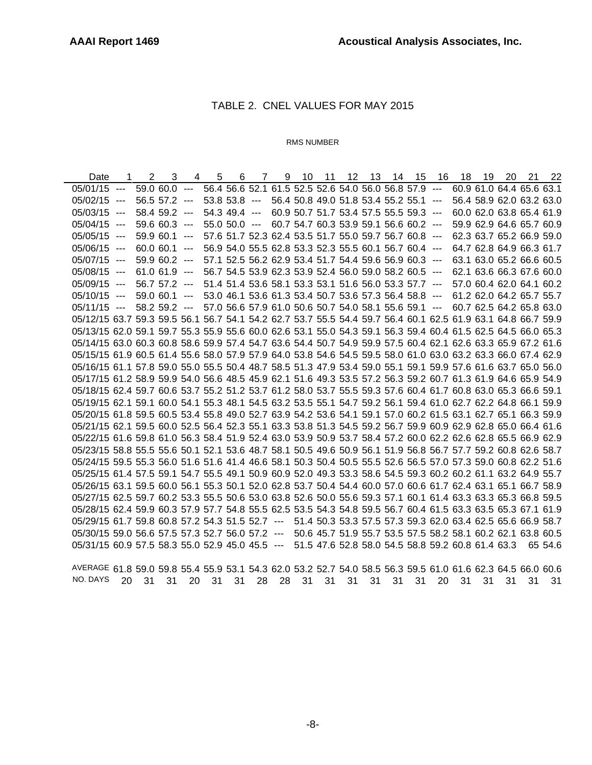## TABLE 2. CNEL VALUES FOR MAY 2015

#### RMS NUMBER

|                                                                                                              |               | $\overline{2}$ | 3              | 4 | 5 | 6                 | $\overline{7}$ | 9 | 10 | 11 | 12 <sup>°</sup>                                       | 13 | 14 | 15 | - 16                                                  | 18 | 19                       | 20 | 21 | 22                                                          |
|--------------------------------------------------------------------------------------------------------------|---------------|----------------|----------------|---|---|-------------------|----------------|---|----|----|-------------------------------------------------------|----|----|----|-------------------------------------------------------|----|--------------------------|----|----|-------------------------------------------------------------|
| $05/01/15$ ---                                                                                               |               |                | $59.0600 -$    |   |   |                   |                |   |    |    | 56.4 56.6 52.1 61.5 52.5 52.6 54.0 56.0 56.8 57.9 --- |    |    |    |                                                       |    | 60.9 61.0 64.4 65.6 63.1 |    |    |                                                             |
| $05/02/15$ ---                                                                                               |               |                | $56.557.2$ --- |   |   | $53.853.8$ ---    |                |   |    |    | 56.4 50.8 49.0 51.8 53.4 55.2 55.1 ---                |    |    |    |                                                       |    | 56.4 58.9 62.0 63.2 63.0 |    |    |                                                             |
| $05/03/15$ ---                                                                                               |               |                | 58.4 59.2 ---  |   |   | $54.349.4$ ---    |                |   |    |    | 60.9 50.7 51.7 53.4 57.5 55.5 59.3 ---                |    |    |    |                                                       |    |                          |    |    | 60.0 62.0 63.8 65.4 61.9                                    |
| 05/04/15                                                                                                     | $\sim$ $\sim$ |                | $59.660.3$ --- |   |   | $55.0$ $50.0$ --- |                |   |    |    | 60.7 54.7 60.3 53.9 59.1 56.6 60.2 ---                |    |    |    |                                                       |    |                          |    |    | 59.9 62.9 64.6 65.7 60.9                                    |
| 05/05/15                                                                                                     | $\sim$ $\sim$ |                | $59.960.1$ --- |   |   |                   |                |   |    |    | 57.6 51.7 52.3 62.4 53.5 51.7 55.0 59.7 56.7 60.8 --- |    |    |    |                                                       |    |                          |    |    | 62.3 63.7 65.2 66.9 59.0                                    |
| $05/06/15$ ---                                                                                               |               |                | $60.060.1$ --- |   |   |                   |                |   |    |    | 56.9 54.0 55.5 62.8 53.3 52.3 55.5 60.1 56.7 60.4 --- |    |    |    |                                                       |    |                          |    |    | 64.7 62.8 64.9 66.3 61.7                                    |
| $05/07/15$ ---                                                                                               |               |                | $59.960.2$ --- |   |   |                   |                |   |    |    | 57.1 52.5 56.2 62.9 53.4 51.7 54.4 59.6 56.9 60.3 --- |    |    |    |                                                       |    | 63.1 63.0 65.2 66.6 60.5 |    |    |                                                             |
| $05/08/15$ ---                                                                                               |               | $61.061.9$ --- |                |   |   |                   |                |   |    |    | 56.7 54.5 53.9 62.3 53.9 52.4 56.0 59.0 58.2 60.5 --- |    |    |    |                                                       |    | 62.1 63.6 66.3 67.6 60.0 |    |    |                                                             |
| 05/09/15                                                                                                     | $---$         |                | $56.757.2$ --- |   |   |                   |                |   |    |    | 51.4 51.4 53.6 58.1 53.3 53.1 51.6 56.0 53.3 57.7 --- |    |    |    |                                                       |    | 57.0 60.4 62.0 64.1 60.2 |    |    |                                                             |
| 05/10/15                                                                                                     | $---$         |                | $59.060.1$ --- |   |   |                   |                |   |    |    | 53.0 46.1 53.6 61.3 53.4 50.7 53.6 57.3 56.4 58.8 --- |    |    |    |                                                       |    |                          |    |    | 61.2 62.0 64.2 65.7 55.7                                    |
| $05/11/15$ ---                                                                                               |               |                | $58.259.2$ --- |   |   |                   |                |   |    |    |                                                       |    |    |    | 57.0 56.6 57.9 61.0 50.6 50.7 54.0 58.1 55.6 59.1 --- |    |                          |    |    | 60.7 62.5 64.2 65.8 63.0                                    |
| 05/12/15 63.7 59.3 59.5 56.1 56.7 54.1 54.2 62.7 53.7 55.5 54.4 59.7 56.4 60.1 62.5 61.9 63.1 64.8 66.7 59.9 |               |                |                |   |   |                   |                |   |    |    |                                                       |    |    |    |                                                       |    |                          |    |    |                                                             |
| 05/13/15 62.0 59.1 59.7 55.3 55.9 55.6 60.0 62.6 53.1 55.0 54.3 59.1 56.3 59.4 60.4 61.5 62.5 64.5 66.0 65.3 |               |                |                |   |   |                   |                |   |    |    |                                                       |    |    |    |                                                       |    |                          |    |    |                                                             |
| 05/14/15 63.0 60.3 60.8 58.6 59.9 57.4 54.7 63.6 54.4 50.7 54.9 59.9 57.5 60.4 62.1 62.6 63.3 65.9 67.2 61.6 |               |                |                |   |   |                   |                |   |    |    |                                                       |    |    |    |                                                       |    |                          |    |    |                                                             |
| 05/15/15 61.9 60.5 61.4 55.6 58.0 57.9 57.9 64.0 53.8 54.6 54.5 59.5 58.0 61.0 63.0 63.2 63.3 66.0 67.4 62.9 |               |                |                |   |   |                   |                |   |    |    |                                                       |    |    |    |                                                       |    |                          |    |    |                                                             |
| 05/16/15 61.1 57.8 59.0 55.0 55.5 50.4 48.7 58.5 51.3 47.9 53.4 59.0 55.1 59.1 59.9 57.6 61.6 63.7 65.0 56.0 |               |                |                |   |   |                   |                |   |    |    |                                                       |    |    |    |                                                       |    |                          |    |    |                                                             |
| 05/17/15 61.2 58.9 59.9 54.0 56.6 48.5 45.9 62.1 51.6 49.3 53.5 57.2 56.3 59.2 60.7 61.3 61.9 64.6 65.9 54.9 |               |                |                |   |   |                   |                |   |    |    |                                                       |    |    |    |                                                       |    |                          |    |    |                                                             |
| 05/18/15 62.4 59.7 60.6 53.7 55.2 51.2 53.7 61.2 58.0 53.7 55.5 59.3 57.6 60.4 61.7 60.8 63.0 65.3 66.6 59.1 |               |                |                |   |   |                   |                |   |    |    |                                                       |    |    |    |                                                       |    |                          |    |    |                                                             |
| 05/19/15 62.1 59.1 60.0 54.1 55.3 48.1 54.5 63.2 53.5 55.1 54.7 59.2 56.1 59.4 61.0 62.7 62.2 64.8 66.1 59.9 |               |                |                |   |   |                   |                |   |    |    |                                                       |    |    |    |                                                       |    |                          |    |    |                                                             |
| 05/20/15 61.8 59.5 60.5 53.4 55.8 49.0 52.7 63.9 54.2 53.6 54.1 59.1 57.0 60.2 61.5 63.1 62.7 65.1 66.3 59.9 |               |                |                |   |   |                   |                |   |    |    |                                                       |    |    |    |                                                       |    |                          |    |    |                                                             |
| 05/21/15 62.1 59.5 60.0 52.5 56.4 52.3 55.1 63.3 53.8 51.3 54.5 59.2 56.7 59.9 60.9 62.9 62.8 65.0 66.4 61.6 |               |                |                |   |   |                   |                |   |    |    |                                                       |    |    |    |                                                       |    |                          |    |    |                                                             |
| 05/22/15 61.6 59.8 61.0 56.3 58.4 51.9 52.4 63.0 53.9 50.9 53.7 58.4 57.2 60.0 62.2 62.6 62.8 65.5 66.9 62.9 |               |                |                |   |   |                   |                |   |    |    |                                                       |    |    |    |                                                       |    |                          |    |    |                                                             |
| 05/23/15 58.8 55.5 55.6 50.1 52.1 53.6 48.7 58.1 50.5 49.6 50.9 56.1 51.9 56.8 56.7 57.7 59.2 60.8 62.6 58.7 |               |                |                |   |   |                   |                |   |    |    |                                                       |    |    |    |                                                       |    |                          |    |    |                                                             |
| 05/24/15 59.5 55.3 56.0 51.6 51.6 41.4 46.6 58.1 50.3 50.4 50.5 55.5 52.6 56.5 57.0 57.3 59.0 60.8 62.2 51.6 |               |                |                |   |   |                   |                |   |    |    |                                                       |    |    |    |                                                       |    |                          |    |    |                                                             |
| 05/25/15 61.4 57.5 59.1 54.7 55.5 49.1 50.9 60.9 52.0 49.3 53.3 58.6 54.5 59.3 60.2 60.2 61.1 63.2 64.9 55.7 |               |                |                |   |   |                   |                |   |    |    |                                                       |    |    |    |                                                       |    |                          |    |    |                                                             |
| 05/26/15 63.1 59.5 60.0 56.1 55.3 50.1 52.0 62.8 53.7 50.4 54.4 60.0 57.0 60.6 61.7 62.4 63.1 65.1 66.7 58.9 |               |                |                |   |   |                   |                |   |    |    |                                                       |    |    |    |                                                       |    |                          |    |    |                                                             |
| 05/27/15 62.5 59.7 60.2 53.3 55.5 50.6 53.0 63.8 52.6 50.0 55.6 59.3 57.1 60.1 61.4 63.3 63.3 65.3 66.8 59.5 |               |                |                |   |   |                   |                |   |    |    |                                                       |    |    |    |                                                       |    |                          |    |    |                                                             |
| 05/28/15 62.4 59.9 60.3 57.9 57.7 54.8 55.5 62.5 53.5 54.3 54.8 59.5 56.7 60.4 61.5 63.3 63.5 65.3 67.1 61.9 |               |                |                |   |   |                   |                |   |    |    |                                                       |    |    |    |                                                       |    |                          |    |    |                                                             |
| 05/29/15 61.7 59.8 60.8 57.2 54.3 51.5 52.7 ---                                                              |               |                |                |   |   |                   |                |   |    |    |                                                       |    |    |    |                                                       |    |                          |    |    | 51.4 50.3 53.3 57.5 57.3 59.3 62.0 63.4 62.5 65.6 66.9 58.7 |
| 05/30/15 59.0 56.6 57.5 57.3 52.7 56.0 57.2 --- 50.6 45.7 51.9 55.7 53.5 57.5 58.2 58.1 60.2 62.1 63.8 60.5  |               |                |                |   |   |                   |                |   |    |    |                                                       |    |    |    |                                                       |    |                          |    |    |                                                             |
| 05/31/15 60.9 57.5 58.3 55.0 52.9 45.0 45.5 --- 51.5 47.6 52.8 58.0 54.5 58.8 59.2 60.8 61.4 63.3            |               |                |                |   |   |                   |                |   |    |    |                                                       |    |    |    |                                                       |    |                          |    |    | 65 54.6                                                     |

AVERAGE 61.8 59.0 59.8 55.4 55.9 53.1 54.3 62.0 53.2 52.7 54.0 58.5 56.3 59.5 61.0 61.6 62.3 64.5 66.0 60.6 NO. DAYS 20 31 31 20 31 31 28 28 31 31 31 31 31 31 20 31 31 31 31 31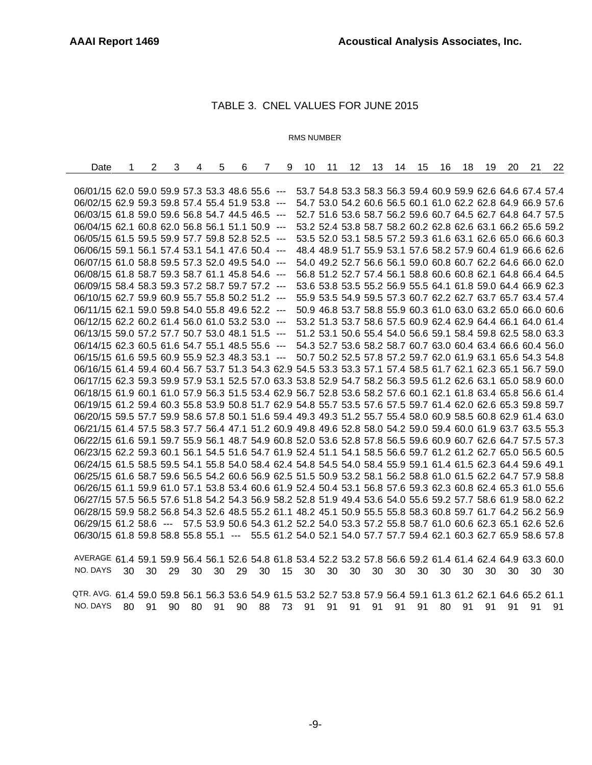## TABLE 3. CNEL VALUES FOR JUNE 2015

#### RMS NUMBER

| Date                                                                                                         | 1 | $\overline{2}$ | 3 | 4 | 5 | 6 | $\overline{7}$ | 9 | 10 | 11 | 12 | 13 | 14                                                          | 15 | 16 | 18 | 19 | 20 | 21 | 22 |
|--------------------------------------------------------------------------------------------------------------|---|----------------|---|---|---|---|----------------|---|----|----|----|----|-------------------------------------------------------------|----|----|----|----|----|----|----|
|                                                                                                              |   |                |   |   |   |   |                |   |    |    |    |    |                                                             |    |    |    |    |    |    |    |
| 06/01/15 62.0 59.0 59.9 57.3 53.3 48.6 55.6 ---                                                              |   |                |   |   |   |   |                |   |    |    |    |    | 53.7 54.8 53.3 58.3 56.3 59.4 60.9 59.9 62.6 64.6 67.4 57.4 |    |    |    |    |    |    |    |
| 06/02/15 62.9 59.3 59.8 57.4 55.4 51.9 53.8 ---                                                              |   |                |   |   |   |   |                |   |    |    |    |    | 54.7 53.0 54.2 60.6 56.5 60.1 61.0 62.2 62.8 64.9 66.9 57.6 |    |    |    |    |    |    |    |
| 06/03/15 61.8 59.0 59.6 56.8 54.7 44.5 46.5 ---                                                              |   |                |   |   |   |   |                |   |    |    |    |    | 52.7 51.6 53.6 58.7 56.2 59.6 60.7 64.5 62.7 64.8 64.7 57.5 |    |    |    |    |    |    |    |
| 06/04/15 62.1 60.8 62.0 56.8 56.1 51.1 50.9 ---                                                              |   |                |   |   |   |   |                |   |    |    |    |    | 53.2 52.4 53.8 58.7 58.2 60.2 62.8 62.6 63.1 66.2 65.6 59.2 |    |    |    |    |    |    |    |
| 06/05/15 61.5 59.5 59.9 57.7 59.8 52.8 52.5 ---                                                              |   |                |   |   |   |   |                |   |    |    |    |    | 53.5 52.0 53.1 58.5 57.2 59.3 61.6 63.1 62.6 65.0 66.6 60.3 |    |    |    |    |    |    |    |
| 06/06/15 59.1 56.1 57.4 53.1 54.1 47.6 50.4 ---                                                              |   |                |   |   |   |   |                |   |    |    |    |    | 48.4 48.9 51.7 55.9 53.1 57.6 58.2 57.9 60.4 61.9 66.6 62.6 |    |    |    |    |    |    |    |
| 06/07/15 61.0 58.8 59.5 57.3 52.0 49.5 54.0 ---                                                              |   |                |   |   |   |   |                |   |    |    |    |    | 54.0 49.2 52.7 56.6 56.1 59.0 60.8 60.7 62.2 64.6 66.0 62.0 |    |    |    |    |    |    |    |
| 06/08/15 61.8 58.7 59.3 58.7 61.1 45.8 54.6 ---                                                              |   |                |   |   |   |   |                |   |    |    |    |    | 56.8 51.2 52.7 57.4 56.1 58.8 60.6 60.8 62.1 64.8 66.4 64.5 |    |    |    |    |    |    |    |
| 06/09/15 58.4 58.3 59.3 57.2 58.7 59.7 57.2 ---                                                              |   |                |   |   |   |   |                |   |    |    |    |    | 53.6 53.8 53.5 55.2 56.9 55.5 64.1 61.8 59.0 64.4 66.9 62.3 |    |    |    |    |    |    |    |
| 06/10/15 62.7 59.9 60.9 55.7 55.8 50.2 51.2 ---                                                              |   |                |   |   |   |   |                |   |    |    |    |    | 55.9 53.5 54.9 59.5 57.3 60.7 62.2 62.7 63.7 65.7 63.4 57.4 |    |    |    |    |    |    |    |
| 06/11/15 62.1 59.0 59.8 54.0 55.8 49.6 52.2 ---                                                              |   |                |   |   |   |   |                |   |    |    |    |    | 50.9 46.8 53.7 58.8 55.9 60.3 61.0 63.0 63.2 65.0 66.0 60.6 |    |    |    |    |    |    |    |
| 06/12/15 62.2 60.2 61.4 56.0 61.0 53.2 53.0 ---                                                              |   |                |   |   |   |   |                |   |    |    |    |    | 53.2 51.3 53.7 58.6 57.5 60.9 62.4 62.9 64.4 66.1 64.0 61.4 |    |    |    |    |    |    |    |
| 06/13/15 59.0 57.2 57.7 50.7 53.0 48.1 51.5 ---                                                              |   |                |   |   |   |   |                |   |    |    |    |    | 51.2 53.1 50.6 55.4 54.0 56.6 59.1 58.4 59.8 62.5 58.0 63.3 |    |    |    |    |    |    |    |
| 06/14/15 62.3 60.5 61.6 54.7 55.1 48.5 55.6 ---                                                              |   |                |   |   |   |   |                |   |    |    |    |    | 54.3 52.7 53.6 58.2 58.7 60.7 63.0 60.4 63.4 66.6 60.4 56.0 |    |    |    |    |    |    |    |
| 06/15/15 61.6 59.5 60.9 55.9 52.3 48.3 53.1 ---                                                              |   |                |   |   |   |   |                |   |    |    |    |    | 50.7 50.2 52.5 57.8 57.2 59.7 62.0 61.9 63.1 65.6 54.3 54.8 |    |    |    |    |    |    |    |
| 06/16/15 61.4 59.4 60.4 56.7 53.7 51.3 54.3 62.9 54.5 53.3 53.3 57.1 57.4 58.5 61.7 62.1 62.3 65.1 56.7 59.0 |   |                |   |   |   |   |                |   |    |    |    |    |                                                             |    |    |    |    |    |    |    |
| 06/17/15 62.3 59.3 59.9 57.9 53.1 52.5 57.0 63.3 53.8 52.9 54.7 58.2 56.3 59.5 61.2 62.6 63.1 65.0 58.9 60.0 |   |                |   |   |   |   |                |   |    |    |    |    |                                                             |    |    |    |    |    |    |    |
| 06/18/15 61.9 60.1 61.0 57.9 56.3 51.5 53.4 62.9 56.7 52.8 53.6 58.2 57.6 60.1 62.1 61.8 63.4 65.8 56.6 61.4 |   |                |   |   |   |   |                |   |    |    |    |    |                                                             |    |    |    |    |    |    |    |
| 06/19/15 61.2 59.4 60.3 55.8 53.9 50.8 51.7 62.9 54.8 55.7 53.5 57.6 57.5 59.7 61.4 62.0 62.6 65.3 59.8 59.7 |   |                |   |   |   |   |                |   |    |    |    |    |                                                             |    |    |    |    |    |    |    |
| 06/20/15 59.5 57.7 59.9 58.6 57.8 50.1 51.6 59.4 49.3 49.3 51.2 55.7 55.4 58.0 60.9 58.5 60.8 62.9 61.4 63.0 |   |                |   |   |   |   |                |   |    |    |    |    |                                                             |    |    |    |    |    |    |    |
| 06/21/15 61.4 57.5 58.3 57.7 56.4 47.1 51.2 60.9 49.8 49.6 52.8 58.0 54.2 59.0 59.4 60.0 61.9 63.7 63.5 55.3 |   |                |   |   |   |   |                |   |    |    |    |    |                                                             |    |    |    |    |    |    |    |
| 06/22/15 61.6 59.1 59.7 55.9 56.1 48.7 54.9 60.8 52.0 53.6 52.8 57.8 56.5 59.6 60.9 60.7 62.6 64.7 57.5 57.3 |   |                |   |   |   |   |                |   |    |    |    |    |                                                             |    |    |    |    |    |    |    |
| 06/23/15 62.2 59.3 60.1 56.1 54.5 51.6 54.7 61.9 52.4 51.1 54.1 58.5 56.6 59.7 61.2 61.2 62.7 65.0 56.5 60.5 |   |                |   |   |   |   |                |   |    |    |    |    |                                                             |    |    |    |    |    |    |    |
| 06/24/15 61.5 58.5 59.5 54.1 55.8 54.0 58.4 62.4 54.8 54.5 54.0 58.4 55.9 59.1 61.4 61.5 62.3 64.4 59.6 49.1 |   |                |   |   |   |   |                |   |    |    |    |    |                                                             |    |    |    |    |    |    |    |
| 06/25/15 61.6 58.7 59.6 56.5 54.2 60.6 56.9 62.5 51.5 50.9 53.2 58.1 56.2 58.8 61.0 61.5 62.2 64.7 57.9 58.8 |   |                |   |   |   |   |                |   |    |    |    |    |                                                             |    |    |    |    |    |    |    |
| 06/26/15 61.1 59.9 61.0 57.1 53.8 53.4 60.6 61.9 52.4 50.4 53.1 56.8 57.6 59.3 62.3 60.8 62.4 65.3 61.0 55.6 |   |                |   |   |   |   |                |   |    |    |    |    |                                                             |    |    |    |    |    |    |    |
| 06/27/15 57.5 56.5 57.6 51.8 54.2 54.3 56.9 58.2 52.8 51.9 49.4 53.6 54.0 55.6 59.2 57.7 58.6 61.9 58.0 62.2 |   |                |   |   |   |   |                |   |    |    |    |    |                                                             |    |    |    |    |    |    |    |
| 06/28/15 59.9 58.2 56.8 54.3 52.6 48.5 55.2 61.1 48.2 45.1 50.9 55.5 55.8 58.3 60.8 59.7 61.7 64.2 56.2 56.9 |   |                |   |   |   |   |                |   |    |    |    |    |                                                             |    |    |    |    |    |    |    |
| 06/29/15 61.2 58.6 --- 57.5 53.9 50.6 54.3 61.2 52.2 54.0 53.3 57.2 55.8 58.7 61.0 60.6 62.3 65.1 62.6 52.6  |   |                |   |   |   |   |                |   |    |    |    |    |                                                             |    |    |    |    |    |    |    |
| 06/30/15 61.8 59.8 58.8 55.8 55.1 --- 55.5 61.2 54.0 52.1 54.0 57.7 57.7 59.4 62.1 60.3 62.7 65.9 58.6 57.8  |   |                |   |   |   |   |                |   |    |    |    |    |                                                             |    |    |    |    |    |    |    |
|                                                                                                              |   |                |   |   |   |   |                |   |    |    |    |    |                                                             |    |    |    |    |    |    |    |
| AVERAGE 61.4 59.1 59.9 56.4 56.1 52.6 54.8 61.8 53.4 52.2 53.2 57.8 56.6 59.2 61.4 61.4 62.4 64.9 63.3 60.0  |   |                |   |   |   |   |                |   |    |    |    |    |                                                             |    |    |    |    |    |    |    |

NO. DAYS 30 30 29 30 30 29 30 15 30 30 30 30 30 30 30 30 30 30 30 30 QTR. AVG. 61.4 59.0 59.8 56.1 56.3 53.6 54.9 61.5 53.2 52.7 53.8 57.9 56.4 59.1 61.3 61.2 62.1 64.6 65.2 61.1

NO. DAYS 80 91 90 80 91 90 88 73 91 91 91 91 91 91 80 91 91 91 91 91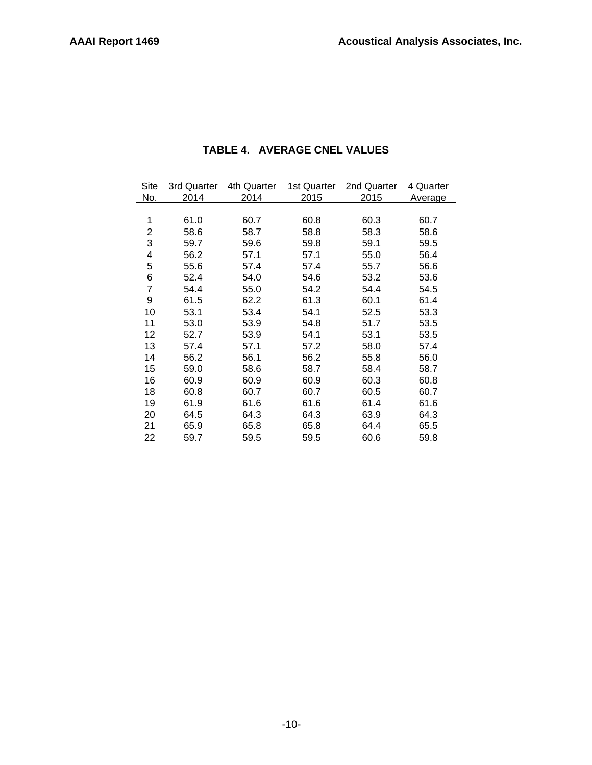| Site           | 3rd Quarter | 4th Quarter | 1st Quarter | 2nd Quarter | 4 Quarter |  |
|----------------|-------------|-------------|-------------|-------------|-----------|--|
| No.            | 2014        | 2014        | 2015        | 2015        | Average   |  |
|                |             |             |             |             |           |  |
| 1              | 61.0        | 60.7        | 60.8        | 60.3        | 60.7      |  |
| 2              | 58.6        | 58.7        | 58.8        | 58.3        | 58.6      |  |
| 3              | 59.7        | 59.6        | 59.8        | 59.1        | 59.5      |  |
| 4              | 56.2        | 57.1        | 57.1        | 55.0        | 56.4      |  |
| 5              | 55.6        | 57.4        | 57.4        | 55.7        | 56.6      |  |
| 6              | 52.4        | 54.0        | 54.6        | 53.2        | 53.6      |  |
| $\overline{7}$ | 54.4        | 55.0        | 54.2        | 54.4        | 54.5      |  |
| 9              | 61.5        | 62.2        | 61.3        | 60.1        | 61.4      |  |
| 10             | 53.1        | 53.4        | 54.1        | 52.5        | 53.3      |  |
| 11             | 53.0        | 53.9        | 54.8        | 51.7        | 53.5      |  |
| 12             | 52.7        | 53.9        | 54.1        | 53.1        | 53.5      |  |
| 13             | 57.4        | 57.1        | 57.2        | 58.0        | 57.4      |  |
| 14             | 56.2        | 56.1        | 56.2        | 55.8        | 56.0      |  |
| 15             | 59.0        | 58.6        | 58.7        | 58.4        | 58.7      |  |
| 16             | 60.9        | 60.9        | 60.9        | 60.3        | 60.8      |  |
| 18             | 60.8        | 60.7        | 60.7        | 60.5        | 60.7      |  |
| 19             | 61.9        | 61.6        | 61.6        | 61.4        | 61.6      |  |
| 20             | 64.5        | 64.3        | 64.3        | 63.9        | 64.3      |  |
| 21             | 65.9        | 65.8        | 65.8        | 64.4        | 65.5      |  |
| 22             | 59.7        | 59.5        | 59.5        | 60.6        | 59.8      |  |

# **TABLE 4. AVERAGE CNEL VALUES**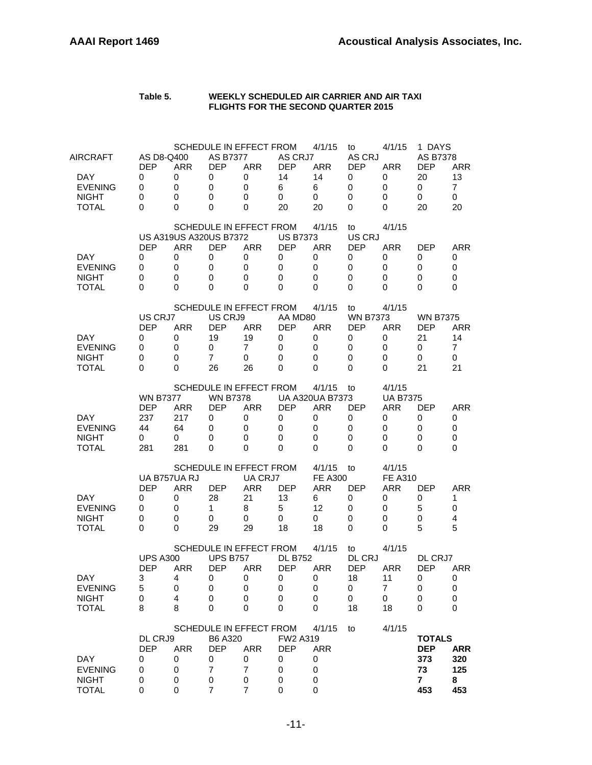#### **Table 5. WEEKLY SCHEDULED AIR CARRIER AND AIR TAXI FLIGHTS FOR THE SECOND QUARTER 2015**

| AIRCRAFT<br>DAY<br><b>EVENING</b><br><b>NIGHT</b> | AS D8-Q400<br><b>DEP</b><br>0<br>0<br>0 | <b>ARR</b><br>0<br>0<br>0 | <b>AS B7377</b><br><b>DEP</b><br>0<br>0<br>0 | SCHEDULE IN EFFECT FROM<br><b>ARR</b><br>0<br>$\mathbf 0$<br>0 | AS CRJ7<br><b>DEP</b><br>14<br>6<br>0 | 4/1/15<br><b>ARR</b><br>14<br>6<br>0 | to<br>AS CRJ<br><b>DEP</b><br>0<br>0<br>0 | 4/1/15<br><b>ARR</b><br>0<br>0<br>0 | 1 DAYS<br>AS B7378<br><b>DEP</b><br>20<br>0<br>0 | <b>ARR</b><br>13<br>$\overline{7}$<br>0 |
|---------------------------------------------------|-----------------------------------------|---------------------------|----------------------------------------------|----------------------------------------------------------------|---------------------------------------|--------------------------------------|-------------------------------------------|-------------------------------------|--------------------------------------------------|-----------------------------------------|
| <b>TOTAL</b>                                      | 0                                       | 0                         | 0                                            | 0<br>SCHEDULE IN EFFECT FROM                                   | 20                                    | 20<br>4/1/15                         | 0<br>to                                   | 0<br>4/1/15                         | 20                                               | 20                                      |
|                                                   |                                         |                           | <b>US A319US A320US B7372</b>                |                                                                | <b>US B7373</b>                       |                                      | US CRJ                                    |                                     |                                                  |                                         |
|                                                   | <b>DEP</b>                              | <b>ARR</b>                | <b>DEP</b>                                   | <b>ARR</b>                                                     | <b>DEP</b>                            | <b>ARR</b>                           | <b>DEP</b>                                | <b>ARR</b>                          | <b>DEP</b>                                       | ARR                                     |
| DAY.<br><b>EVENING</b>                            | 0<br>0                                  | 0<br>0                    | 0<br>0                                       | 0<br>0                                                         | 0<br>0                                | 0<br>0                               | 0<br>0                                    | 0<br>0                              | 0<br>0                                           | 0<br>0                                  |
| <b>NIGHT</b>                                      | 0                                       | 0                         | 0                                            | 0                                                              | $\mathbf 0$                           | 0                                    | 0                                         | 0                                   | 0                                                | 0                                       |
| <b>TOTAL</b>                                      | 0                                       | 0                         | 0                                            | 0                                                              | 0                                     | 0                                    | 0                                         | 0                                   | 0                                                | 0                                       |
|                                                   |                                         |                           |                                              | SCHEDULE IN EFFECT FROM                                        |                                       | 4/1/15                               | to                                        | 4/1/15                              |                                                  |                                         |
|                                                   | US CRJ7                                 |                           | US CRJ9                                      |                                                                | AA MD80                               |                                      | <b>WN B7373</b>                           |                                     | <b>WN B7375</b>                                  |                                         |
|                                                   | <b>DEP</b>                              | <b>ARR</b>                | <b>DEP</b>                                   | <b>ARR</b>                                                     | <b>DEP</b>                            | <b>ARR</b>                           | <b>DEP</b>                                | <b>ARR</b>                          | <b>DEP</b>                                       | <b>ARR</b>                              |
| <b>DAY</b><br><b>EVENING</b>                      | 0<br>0                                  | 0<br>0                    | 19<br>0                                      | 19<br>7                                                        | 0<br>0                                | 0<br>0                               | 0<br>0                                    | 0<br>0                              | 21<br>0                                          | 14<br>7                                 |
| <b>NIGHT</b>                                      | 0                                       | 0                         | $\overline{7}$                               | 0                                                              | 0                                     | 0                                    | 0                                         | 0                                   | 0                                                | 0                                       |
| <b>TOTAL</b>                                      | 0                                       | 0                         | 26                                           | 26                                                             | 0                                     | 0                                    | 0                                         | 0                                   | 21                                               | 21                                      |
|                                                   |                                         |                           |                                              | SCHEDULE IN EFFECT FROM                                        |                                       | 4/1/15                               | to                                        | 4/1/15                              |                                                  |                                         |
|                                                   | <b>WN B7377</b>                         |                           | <b>WN B7378</b>                              |                                                                |                                       | <b>UA A320UA B7373</b>               |                                           | <b>UA B7375</b>                     |                                                  |                                         |
|                                                   | <b>DEP</b>                              | <b>ARR</b>                | <b>DEP</b>                                   | <b>ARR</b>                                                     | <b>DEP</b>                            | <b>ARR</b>                           | <b>DEP</b>                                | <b>ARR</b>                          | <b>DEP</b>                                       | <b>ARR</b>                              |
| DAY                                               | 237                                     | 217                       | 0                                            | 0                                                              | 0                                     | 0                                    | 0                                         | 0                                   | 0                                                | 0                                       |
| <b>EVENING</b>                                    | 44                                      | 64                        | 0                                            | 0                                                              | 0                                     | 0                                    | 0                                         | 0                                   | 0                                                | 0                                       |
| <b>NIGHT</b><br>TOTAL                             | 0<br>281                                | 0<br>281                  | 0<br>0                                       | 0<br>0                                                         | 0<br>0                                | 0<br>$\Omega$                        | 0<br>0                                    | 0<br>0                              | 0<br>0                                           | 0<br>0                                  |
|                                                   |                                         |                           |                                              |                                                                |                                       |                                      |                                           |                                     |                                                  |                                         |
|                                                   | UA B757UA RJ                            |                           |                                              | SCHEDULE IN EFFECT FROM<br>UA CRJ7                             |                                       | 4/1/15<br><b>FE A300</b>             | to                                        | 4/1/15<br><b>FE A310</b>            |                                                  |                                         |
|                                                   | <b>DEP</b>                              | ARR                       | <b>DEP</b>                                   | <b>ARR</b>                                                     | <b>DEP</b>                            | ARR                                  | <b>DEP</b>                                | ARR                                 | <b>DEP</b>                                       | ARR                                     |
| DAY.                                              | 0                                       | 0                         | 28                                           | 21                                                             | 13                                    | 6                                    | 0                                         | 0                                   | 0                                                | 1                                       |
| <b>EVENING</b>                                    | 0                                       | 0                         | $\mathbf{1}$                                 | 8                                                              | 5                                     | 12                                   | 0                                         | 0                                   | 5                                                | 0                                       |
| <b>NIGHT</b><br><b>TOTAL</b>                      | 0<br>0                                  | 0<br>0                    | 0<br>29                                      | 0<br>29                                                        | 0<br>18                               | 0<br>18                              | 0<br>$\mathbf 0$                          | 0<br>0                              | 0<br>5                                           | 4<br>5                                  |
|                                                   |                                         |                           |                                              |                                                                |                                       |                                      |                                           |                                     |                                                  |                                         |
|                                                   |                                         |                           |                                              | SCHEDULE IN EFFECT FROM                                        |                                       | 4/1/15                               | to                                        | 4/1/15                              |                                                  |                                         |
|                                                   | <b>UPS A300</b>                         |                           | <b>UPS B757</b>                              |                                                                | <b>DL B752</b>                        |                                      | DL CRJ                                    |                                     | DL CRJ7                                          |                                         |
| DAY                                               | <b>DEP</b><br>3                         | ARR                       | <b>DEP</b><br>$\mathbf 0$                    | <b>ARR</b><br>0                                                | <b>DEP</b><br>0                       | <b>ARR</b>                           | <b>DEP</b><br>18                          | <b>ARR</b>                          | <b>DEP</b><br>0                                  | <b>ARR</b>                              |
| <b>EVENING</b>                                    | 5                                       | 4<br>0                    | 0                                            | 0                                                              | 0                                     | U<br>0                               | 0                                         | 11<br>$\overline{7}$                | 0                                                | U<br>0                                  |
| <b>NIGHT</b>                                      | 0                                       | 4                         | 0                                            | 0                                                              | 0                                     | 0                                    | 0                                         | 0                                   | 0                                                | 0                                       |
| <b>TOTAL</b>                                      | 8                                       | 8                         | 0                                            | 0                                                              | 0                                     | 0                                    | 18                                        | 18                                  | 0                                                | 0                                       |
|                                                   |                                         |                           |                                              | SCHEDULE IN EFFECT FROM                                        |                                       | 4/1/15                               | to                                        | 4/1/15                              |                                                  |                                         |
|                                                   | DL CRJ9                                 |                           | <b>B6 A320</b>                               |                                                                | FW2 A319                              |                                      |                                           |                                     | <b>TOTALS</b>                                    |                                         |
|                                                   | <b>DEP</b>                              | <b>ARR</b>                | <b>DEP</b>                                   | <b>ARR</b>                                                     | <b>DEP</b>                            | <b>ARR</b>                           |                                           |                                     | <b>DEP</b>                                       | <b>ARR</b>                              |
| DAY                                               | 0                                       | 0                         | 0                                            | 0                                                              | 0                                     | 0                                    |                                           |                                     | 373                                              | 320                                     |
| <b>EVENING</b>                                    | 0                                       | 0                         | $\overline{7}$                               | $\overline{7}$                                                 | 0                                     | 0                                    |                                           |                                     | 73                                               | 125                                     |
| <b>NIGHT</b><br><b>TOTAL</b>                      | 0<br>0                                  | 0<br>0                    | 0<br>7                                       | 0<br>7                                                         | 0<br>0                                | 0<br>0                               |                                           |                                     | $\mathbf{7}$<br>453                              | 8<br>453                                |
|                                                   |                                         |                           |                                              |                                                                |                                       |                                      |                                           |                                     |                                                  |                                         |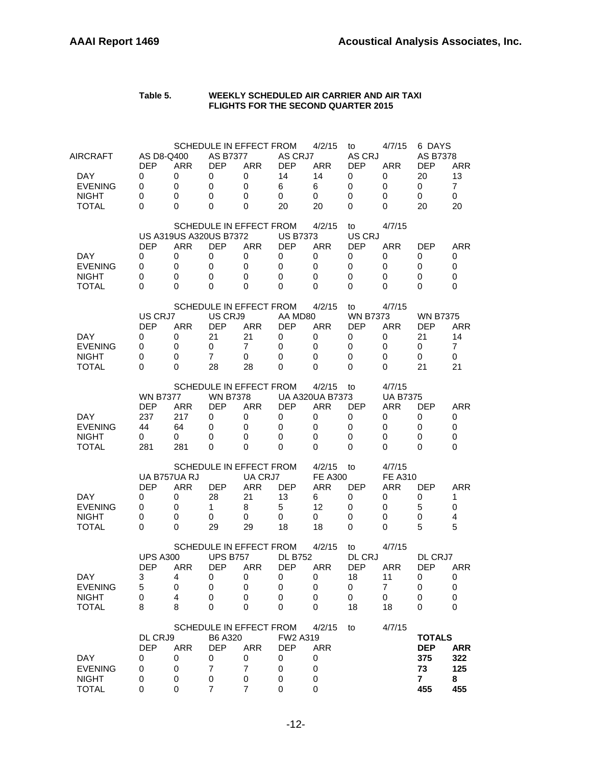| Table 5. | WEEKLY SCHEDULED AIR CARRIER AND AIR TAXI  |
|----------|--------------------------------------------|
|          | <b>FLIGHTS FOR THE SECOND QUARTER 2015</b> |

| AIRCRAFT<br>DAY.<br><b>EVENING</b><br><b>NIGHT</b><br><b>TOTAL</b> | AS D8-Q400<br><b>DEP</b><br>0<br>0<br>0<br>0           | <b>ARR</b><br>0<br>$\mathbf 0$<br>0<br>0                        | <b>AS B7377</b><br><b>DEP</b><br>0<br>$\mathbf 0$<br>0<br>0  | SCHEDULE IN EFFECT FROM<br><b>ARR</b><br>0<br>0<br>0<br>0                                 | AS CRJ7<br><b>DEP</b><br>14<br>6<br>0<br>20       | 4/2/15<br><b>ARR</b><br>14<br>6<br>0<br>20                         | to<br>AS CRJ<br><b>DEP</b><br>0<br>0<br>0<br>0          | 4/7/15<br><b>ARR</b><br>0<br>0<br>0<br>0                    | 6 DAYS<br><b>AS B7378</b><br><b>DEP</b><br>20<br>0<br>0<br>20   | <b>ARR</b><br>13<br>$\overline{7}$<br>$\mathbf 0$<br>20 |
|--------------------------------------------------------------------|--------------------------------------------------------|-----------------------------------------------------------------|--------------------------------------------------------------|-------------------------------------------------------------------------------------------|---------------------------------------------------|--------------------------------------------------------------------|---------------------------------------------------------|-------------------------------------------------------------|-----------------------------------------------------------------|---------------------------------------------------------|
| DAY<br><b>EVENING</b><br><b>NIGHT</b><br><b>TOTAL</b>              | <b>DEP</b><br>0<br>0<br>0<br>0                         | <b>US A319US A320US B7372</b><br><b>ARR</b><br>0<br>0<br>0<br>0 | <b>DEP</b><br>0<br>0<br>0<br>0                               | SCHEDULE IN EFFECT FROM<br><b>ARR</b><br>0<br>0<br>0<br>0                                 | <b>US B7373</b><br><b>DEP</b><br>0<br>0<br>0<br>0 | 4/2/15<br><b>ARR</b><br>0<br>0<br>0<br>0                           | to<br>US CRJ<br><b>DEP</b><br>0<br>0<br>0<br>0          | 4/7/15<br><b>ARR</b><br>0<br>0<br>0<br>0                    | <b>DEP</b><br>0<br>0<br>0<br>0                                  | ARR<br>0<br>0<br>$\Omega$<br>0                          |
| DAY.<br><b>EVENING</b><br><b>NIGHT</b><br><b>TOTAL</b>             | US CRJ7<br><b>DEP</b><br>0<br>0<br>0<br>0              | <b>ARR</b><br>0<br>0<br>0<br>0                                  | US CRJ9<br><b>DEP</b><br>21<br>0<br>$\overline{7}$<br>28     | SCHEDULE IN EFFECT FROM<br><b>ARR</b><br>21<br>7<br>0<br>28                               | AA MD80<br><b>DEP</b><br>0<br>0<br>0<br>0         | 4/2/15<br><b>ARR</b><br>0<br>0<br>0<br>0                           | to<br><b>WN B7373</b><br><b>DEP</b><br>0<br>0<br>0<br>0 | 4/7/15<br><b>ARR</b><br>0<br>0<br>0<br>0                    | <b>WN B7375</b><br><b>DEP</b><br>21<br>0<br>0<br>21             | <b>ARR</b><br>14<br>7<br>0<br>21                        |
| DAY<br><b>EVENING</b><br><b>NIGHT</b><br><b>TOTAL</b>              | <b>WN B7377</b><br><b>DEP</b><br>237<br>44<br>0<br>281 | <b>ARR</b><br>217<br>64<br>0<br>281                             | <b>WN B7378</b><br><b>DEP</b><br>0<br>0<br>0<br>0            | SCHEDULE IN EFFECT FROM<br><b>ARR</b><br>0<br>0<br>0<br>0                                 | <b>DEP</b><br>0<br>0<br>0<br>0                    | 4/2/15<br><b>UA A320UA B7373</b><br><b>ARR</b><br>0<br>0<br>0<br>0 | to<br><b>DEP</b><br>0<br>0<br>0<br>0                    | 4/7/15<br><b>UA B7375</b><br><b>ARR</b><br>0<br>0<br>0<br>0 | <b>DEP</b><br>0<br>0<br>0<br>0                                  | ARR<br>0<br>0<br>0<br>0                                 |
| DAY.<br><b>EVENING</b><br><b>NIGHT</b><br>TOTAL                    | <b>DEP</b><br>0<br>0<br>0<br>0                         | UA B757UA RJ<br><b>ARR</b><br>0<br>0<br>0<br>0                  | <b>DEP</b><br>28<br>1<br>0<br>29                             | SCHEDULE IN EFFECT FROM<br>UA CRJ7<br><b>ARR</b><br>21<br>8<br>0<br>29                    | <b>DEP</b><br>13<br>5<br>0<br>18                  | 4/2/15<br><b>FE A300</b><br><b>ARR</b><br>6<br>12<br>0<br>18       | to<br><b>DEP</b><br>0<br>0<br>0<br>0                    | 4/7/15<br><b>FE A310</b><br>ARR<br>0<br>0<br>0<br>0         | <b>DEP</b><br>0<br>5<br>0<br>5                                  | ARR<br>1<br>0<br>4<br>5                                 |
| DAY<br><b>EVENING</b><br><b>NIGHT</b><br><b>TOTAL</b>              | <b>UPS A300</b><br><b>DEP</b><br>3<br>5<br>0<br>8      | ARR<br>4<br>0<br>4<br>8                                         | <b>UPS B757</b><br><b>DEP</b><br>O<br>0<br>0<br>0            | SCHEDULE IN EFFECT FROM<br><b>ARR</b><br>U<br>0<br>0<br>0                                 | <b>DL B752</b><br><b>DEP</b><br>U<br>0<br>0<br>0  | 4/2/15<br>ARR<br>O<br>0<br>0<br>0                                  | to<br>DL CRJ<br><b>DEP</b><br>18<br>0<br>0<br>18        | 4/7/15<br><b>ARR</b><br>11<br>$\overline{7}$<br>0<br>18     | DL CRJ7<br><b>DEP</b><br>U<br>0<br>0<br>0                       | ARR<br>U<br>0<br>0<br>0                                 |
| <b>DAY</b><br><b>EVENING</b><br><b>NIGHT</b><br><b>TOTAL</b>       | DL CRJ9<br><b>DEP</b><br>0<br>0<br>0<br>0              | <b>ARR</b><br>0<br>0<br>0<br>0                                  | B6 A320<br><b>DEP</b><br>0<br>$\overline{7}$<br>$\,0\,$<br>7 | SCHEDULE IN EFFECT FROM<br><b>ARR</b><br>0<br>$\overline{7}$<br>$\,0\,$<br>$\overline{7}$ | FW2 A319<br><b>DEP</b><br>0<br>0<br>0<br>0        | 4/2/15<br><b>ARR</b><br>0<br>0<br>0<br>0                           | to                                                      | 4/7/15                                                      | <b>TOTALS</b><br><b>DEP</b><br>375<br>73<br>$\mathbf{7}$<br>455 | <b>ARR</b><br>322<br>125<br>8<br>455                    |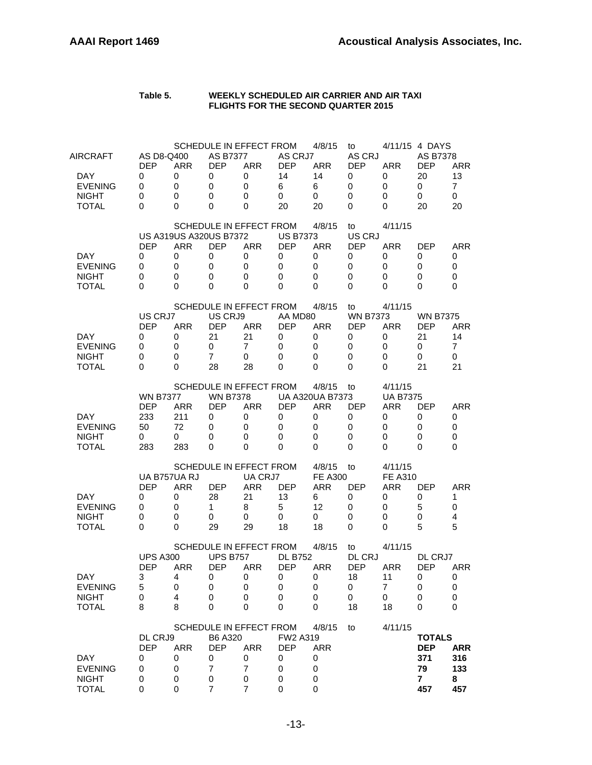| Table 5. | WEEKLY SCHEDULED AIR CARRIER AND AIR TAXI  |
|----------|--------------------------------------------|
|          | <b>FLIGHTS FOR THE SECOND QUARTER 2015</b> |

| AIRCRAFT<br>DAY.<br><b>EVENING</b><br><b>NIGHT</b><br><b>TOTAL</b> | AS D8-Q400<br><b>DEP</b><br>0<br>0<br>0<br>0           | <b>ARR</b><br>0<br>$\mathbf 0$<br>0<br>0                 | <b>AS B7377</b><br><b>DEP</b><br>0<br>0<br>0<br>0           | SCHEDULE IN EFFECT FROM<br><b>ARR</b><br>0<br>0<br>0<br>0                                 | AS CRJ7<br><b>DEP</b><br>14<br>6<br>0<br>20              | 4/8/15<br>ARR<br>14<br>6<br>0<br>20                                | to<br>AS CRJ<br><b>DEP</b><br>0<br>0<br>0<br>0          | <b>ARR</b><br>0<br>0<br>0<br>0                                     | 4/11/15 4 DAYS<br><b>AS B7378</b><br><b>DEP</b><br>20<br>0<br>0<br>20 | <b>ARR</b><br>13<br>$\overline{7}$<br>$\mathbf 0$<br>20 |
|--------------------------------------------------------------------|--------------------------------------------------------|----------------------------------------------------------|-------------------------------------------------------------|-------------------------------------------------------------------------------------------|----------------------------------------------------------|--------------------------------------------------------------------|---------------------------------------------------------|--------------------------------------------------------------------|-----------------------------------------------------------------------|---------------------------------------------------------|
| DAY<br><b>EVENING</b><br><b>NIGHT</b><br><b>TOTAL</b>              | <b>DEP</b><br>0<br>0<br>0<br>0                         | US A319US A320US B7372<br><b>ARR</b><br>0<br>0<br>0<br>0 | <b>DEP</b><br>0<br>0<br>0<br>0                              | SCHEDULE IN EFFECT FROM<br><b>ARR</b><br>0<br>$\Omega$<br>0<br>0                          | <b>US B7373</b><br><b>DEP</b><br>0<br>0<br>0<br>$\Omega$ | 4/8/15<br><b>ARR</b><br>0<br>0<br>0<br>0                           | to<br>US CRJ<br><b>DEP</b><br>0<br>0<br>0<br>0          | 4/11/15<br><b>ARR</b><br>0<br>0<br>0<br>0                          | <b>DEP</b><br>0<br>0<br>0<br>0                                        | <b>ARR</b><br>0<br>0<br>$\Omega$<br>$\Omega$            |
| DAY.<br><b>EVENING</b><br><b>NIGHT</b><br><b>TOTAL</b>             | US CRJ7<br><b>DEP</b><br>0<br>0<br>0<br>0              | <b>ARR</b><br>0<br>0<br>0<br>0                           | US CRJ9<br><b>DEP</b><br>21<br>0<br>$\overline{7}$<br>28    | SCHEDULE IN EFFECT FROM<br><b>ARR</b><br>21<br>$\overline{7}$<br>0<br>28                  | AA MD80<br><b>DEP</b><br>0<br>0<br>0<br>0                | 4/8/15<br><b>ARR</b><br>0<br>0<br>0<br>0                           | to<br><b>WN B7373</b><br><b>DEP</b><br>0<br>0<br>0<br>0 | 4/11/15<br><b>ARR</b><br>0<br>0<br>0<br>0                          | <b>WN B7375</b><br><b>DEP</b><br>21<br>0<br>0<br>21                   | <b>ARR</b><br>14<br>7<br>0<br>21                        |
| DAY.<br><b>EVENING</b><br><b>NIGHT</b><br><b>TOTAL</b>             | <b>WN B7377</b><br><b>DEP</b><br>233<br>50<br>0<br>283 | <b>ARR</b><br>211<br>72<br>0<br>283                      | <b>WN B7378</b><br><b>DEP</b><br>0<br>0<br>0<br>0           | SCHEDULE IN EFFECT FROM<br><b>ARR</b><br>0<br>0<br>0<br>0                                 | <b>DEP</b><br>0<br>0<br>0<br>0                           | 4/8/15<br><b>UA A320UA B7373</b><br><b>ARR</b><br>0<br>0<br>0<br>0 | to<br><b>DEP</b><br>0<br>0<br>0<br>0                    | 4/11/15<br><b>UA B7375</b><br>ARR<br>0<br>0<br>0<br>0              | <b>DEP</b><br>0<br>0<br>0<br>0                                        | ARR<br>0<br>0<br>$\mathbf 0$<br>0                       |
| DAY.<br><b>EVENING</b><br><b>NIGHT</b><br><b>TOTAL</b>             | <b>DEP</b><br>0<br>0<br>0<br>0                         | UA B757UA RJ<br><b>ARR</b><br>0<br>0<br>0<br>0           | <b>DEP</b><br>28<br>1<br>0<br>29                            | SCHEDULE IN EFFECT FROM<br>UA CRJ7<br><b>ARR</b><br>21<br>8<br>0<br>29                    | <b>DEP</b><br>13<br>5<br>0<br>18                         | 4/8/15<br><b>FE A300</b><br><b>ARR</b><br>6<br>12<br>0<br>18       | to<br><b>DEP</b><br>0<br>0<br>0<br>0                    | 4/11/15<br><b>FE A310</b><br><b>ARR</b><br>0<br>0<br>0<br>0        | <b>DEP</b><br>0<br>5<br>0<br>5                                        | <b>ARR</b><br>1<br>0<br>4<br>5                          |
| DAY<br><b>EVENING</b><br><b>NIGHT</b><br><b>TOTAL</b>              | <b>UPS A300</b><br><b>DEP</b><br>З<br>5<br>0<br>8      | ARR<br>4<br>0<br>4<br>8                                  | <b>UPS B757</b><br><b>DEP</b><br>$\mathbf 0$<br>0<br>0<br>0 | SCHEDULE IN EFFECT FROM<br><b>ARR</b><br>0<br>0<br>0<br>0                                 | <b>DL B752</b><br><b>DEP</b><br>0<br>0<br>0<br>0         | 4/8/15<br>ARR<br>0<br>0<br>0<br>0                                  | to<br>DL CRJ<br><b>DEP</b><br>18<br>0<br>0<br>18        | 4/11/15<br><b>ARR</b><br>11<br>$\overline{7}$<br>$\mathbf 0$<br>18 | DL CRJ7<br><b>DEP</b><br>0<br>0<br>0<br>0                             | <b>ARR</b><br>$\mathbf 0$<br>$\pmb{0}$<br>0<br>0        |
| DAY<br><b>EVENING</b><br><b>NIGHT</b><br><b>TOTAL</b>              | DL CRJ9<br><b>DEP</b><br>0<br>0<br>0<br>0              | <b>ARR</b><br>0<br>0<br>0<br>0                           | B6 A320<br><b>DEP</b><br>0<br>$\overline{7}$<br>0<br>7      | SCHEDULE IN EFFECT FROM<br><b>ARR</b><br>0<br>$\overline{7}$<br>$\,0\,$<br>$\overline{7}$ | FW2 A319<br><b>DEP</b><br>0<br>0<br>0<br>0               | 4/8/15<br><b>ARR</b><br>0<br>0<br>0<br>0                           | to                                                      | 4/11/15                                                            | <b>TOTALS</b><br><b>DEP</b><br>371<br>79<br>$\mathbf{7}$<br>457       | <b>ARR</b><br>316<br>133<br>8<br>457                    |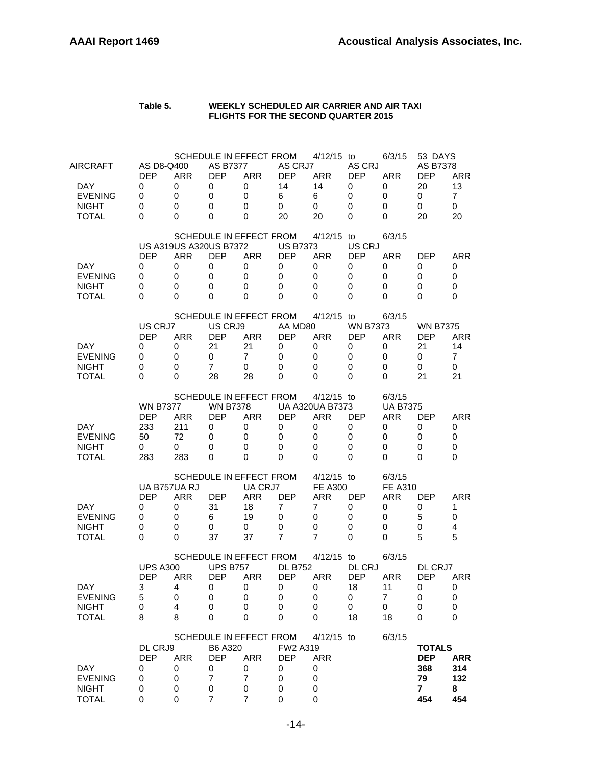#### **Table 5. WEEKLY SCHEDULED AIR CARRIER AND AIR TAXI FLIGHTS FOR THE SECOND QUARTER 2015**

| AIRCRAFT       | AS D8-Q400<br><b>DEP</b> | <b>ARR</b>             | <b>AS B7377</b><br><b>DEP</b> | SCHEDULE IN EFFECT FROM<br><b>ARR</b> | AS CRJ7<br><b>DEP</b> | 4/12/15 to<br><b>ARR</b> | AS CRJ<br><b>DEP</b> | 6/3/15<br><b>ARR</b> | 53 DAYS<br><b>AS B7378</b><br><b>DEP</b> | ARR            |
|----------------|--------------------------|------------------------|-------------------------------|---------------------------------------|-----------------------|--------------------------|----------------------|----------------------|------------------------------------------|----------------|
| DAY.           | 0                        | 0                      | 0                             | 0                                     | 14                    | 14                       | 0                    | 0                    | 20                                       | 13             |
| <b>EVENING</b> | 0                        | 0                      | 0                             | $\Omega$                              | 6                     | 6                        | 0                    | 0                    | 0                                        | $\overline{7}$ |
| <b>NIGHT</b>   | 0                        | 0                      | 0                             | 0                                     | 0                     | 0                        | 0                    | 0                    | 0                                        | 0              |
| <b>TOTAL</b>   | 0                        | 0                      | 0                             | 0                                     | 20                    | 20                       | 0                    | 0                    | 20                                       | 20             |
|                |                          |                        |                               |                                       |                       |                          |                      |                      |                                          |                |
|                |                          |                        |                               | SCHEDULE IN EFFECT FROM               |                       | 4/12/15 to               |                      | 6/3/15               |                                          |                |
|                |                          | US A319US A320US B7372 |                               |                                       | <b>US B7373</b>       |                          | US CRJ               |                      |                                          |                |
|                | <b>DEP</b>               | <b>ARR</b>             | <b>DEP</b>                    | <b>ARR</b>                            | <b>DEP</b>            | <b>ARR</b>               | <b>DEP</b>           | <b>ARR</b>           | <b>DEP</b>                               | <b>ARR</b>     |
| DAY.           | 0                        | 0                      | $\mathbf 0$                   | 0                                     | 0                     | 0                        | 0                    | 0                    | 0                                        | 0              |
| <b>EVENING</b> | 0                        | 0                      | 0                             | 0                                     | 0                     | 0                        | 0                    | 0                    | 0                                        | 0              |
| <b>NIGHT</b>   | 0                        | 0                      | 0                             | 0                                     | 0                     | 0                        | 0                    | 0                    | 0                                        | $\mathbf 0$    |
| <b>TOTAL</b>   | 0                        | 0                      | 0                             | 0                                     | 0                     | 0                        | 0                    | 0                    | 0                                        | 0              |
|                |                          |                        |                               |                                       |                       |                          |                      |                      |                                          |                |
|                |                          |                        |                               | SCHEDULE IN EFFECT FROM               |                       | $4/12/15$ to             |                      | 6/3/15               |                                          |                |
|                | US CRJ7                  |                        | US CRJ9                       |                                       | AA MD80               |                          | <b>WN B7373</b>      |                      | <b>WN B7375</b>                          |                |
|                | <b>DEP</b>               | <b>ARR</b>             | <b>DEP</b>                    | <b>ARR</b>                            | <b>DEP</b>            | <b>ARR</b>               | <b>DEP</b>           | <b>ARR</b>           | <b>DEP</b>                               | <b>ARR</b>     |
| DAY.           | 0                        | 0                      | 21                            | 21                                    | 0                     | 0                        | 0                    | 0                    | 21                                       | 14             |
| <b>EVENING</b> | 0                        | 0                      | 0                             | 7                                     | 0                     | 0                        | 0                    | 0                    | 0                                        | $\overline{7}$ |
| <b>NIGHT</b>   | 0                        | 0                      | $\overline{7}$                | 0                                     | 0                     | 0                        | 0                    | 0                    | 0                                        | $\mathbf 0$    |
| <b>TOTAL</b>   | 0                        | 0                      | 28                            | 28                                    | 0                     | 0                        | 0                    | 0                    | 21                                       | 21             |
|                |                          |                        |                               | SCHEDULE IN EFFECT FROM               |                       | 4/12/15 to               |                      | 6/3/15               |                                          |                |
|                | <b>WN B7377</b>          |                        | <b>WN B7378</b>               |                                       |                       | <b>UA A320UA B7373</b>   |                      | <b>UA B7375</b>      |                                          |                |
|                | <b>DEP</b>               | ARR                    | <b>DEP</b>                    | <b>ARR</b>                            | DEP                   | <b>ARR</b>               | <b>DEP</b>           | <b>ARR</b>           | <b>DEP</b>                               | ARR            |
| DAY            | 233                      | 211                    | 0                             | 0                                     | 0                     | 0                        | 0                    | 0                    | 0                                        | 0              |
| <b>EVENING</b> | 50                       | 72                     | 0                             | 0                                     | 0                     | 0                        | 0                    | 0                    | 0                                        | 0              |
| <b>NIGHT</b>   | 0                        | 0                      | 0                             | 0                                     | 0                     | 0                        | 0                    | 0                    | 0                                        | 0              |
| TOTAL          | 283                      | 283                    | 0                             | $\Omega$                              | 0                     | 0                        | 0                    | 0                    | 0                                        | 0              |
|                |                          |                        |                               |                                       |                       |                          |                      |                      |                                          |                |
|                |                          |                        |                               | SCHEDULE IN EFFECT FROM               |                       | $4/12/15$ to             |                      | 6/3/15               |                                          |                |
|                |                          | UA B757UA RJ           |                               | UA CRJ7                               |                       | <b>FE A300</b>           |                      | <b>FE A310</b>       |                                          |                |
|                | <b>DEP</b>               | <b>ARR</b>             | <b>DEP</b>                    | <b>ARR</b>                            | <b>DEP</b>            | <b>ARR</b>               | <b>DEP</b>           | ARR                  | <b>DEP</b>                               | ARR            |
| DAY.           | 0                        | 0                      | 31                            | 18                                    | 7                     | 7                        | 0                    | 0                    | 0                                        | 1              |
| <b>EVENING</b> | 0                        | 0                      | 6                             | 19                                    | 0                     | 0                        | 0                    | 0                    | 5                                        | $\mathbf 0$    |
| <b>NIGHT</b>   | 0                        | 0                      | 0                             | 0                                     | 0                     | 0                        | 0                    | 0                    | 0                                        | 4              |
| <b>TOTAL</b>   | 0                        | 0                      | 37                            | 37                                    | $\overline{7}$        | 7                        | $\Omega$             | 0                    | 5                                        | 5              |
|                |                          |                        |                               | SCHEDULE IN EFFECT FROM               |                       | $4/12/15$ to             |                      | 6/3/15               |                                          |                |
|                | <b>UPS A300</b>          |                        | <b>UPS B757</b>               |                                       | <b>DL B752</b>        |                          | <b>DL CRJ</b>        |                      | DL CRJ7                                  |                |
|                | <b>DEP</b>               | <b>ARR</b>             | <b>DEP</b>                    | <b>ARR</b>                            | <b>DEP</b>            | <b>ARR</b>               | <b>DEP</b>           | <b>ARR</b>           | <b>DEP</b>                               | ARR            |
| DAY            | 3                        | 4                      | 0                             | 0                                     | 0                     | 0                        | 18                   | 11                   | 0                                        | 0              |
| <b>EVENING</b> | 5                        | 0                      | 0                             | 0                                     | 0                     | 0                        | 0                    | $\overline{7}$       | 0                                        | 0              |
| <b>NIGHT</b>   | 0                        | 4                      | 0                             | 0                                     | 0                     | 0                        | 0                    | 0                    | 0                                        | 0              |
| <b>TOTAL</b>   | 8                        | 8                      | 0                             | 0                                     | 0                     | 0                        | 18                   | 18                   | 0                                        | 0              |
|                |                          |                        |                               |                                       |                       |                          |                      |                      |                                          |                |
|                |                          |                        |                               | SCHEDULE IN EFFECT FROM               |                       | $4/12/15$ to             |                      | 6/3/15               |                                          |                |
|                | DL CRJ9                  |                        | B6 A320                       |                                       | FW2 A319              |                          |                      |                      | <b>TOTALS</b>                            |                |
|                | <b>DEP</b>               | <b>ARR</b>             | <b>DEP</b>                    | <b>ARR</b>                            | <b>DEP</b>            | <b>ARR</b>               |                      |                      | <b>DEP</b>                               | <b>ARR</b>     |
| <b>DAY</b>     | 0                        | 0                      | 0                             | 0                                     | 0                     | 0                        |                      |                      | 368                                      | 314            |
| <b>EVENING</b> | 0                        | 0                      | $\overline{7}$                | $\overline{7}$                        | 0                     | 0                        |                      |                      | 79                                       | 132            |
| <b>NIGHT</b>   | 0                        | 0                      | 0                             | 0                                     | 0                     | 0                        |                      |                      | $\mathbf{7}$                             | 8              |
| <b>TOTAL</b>   | 0                        | 0                      | $\overline{7}$                | $\overline{7}$                        | 0                     | 0                        |                      |                      | 454                                      | 454            |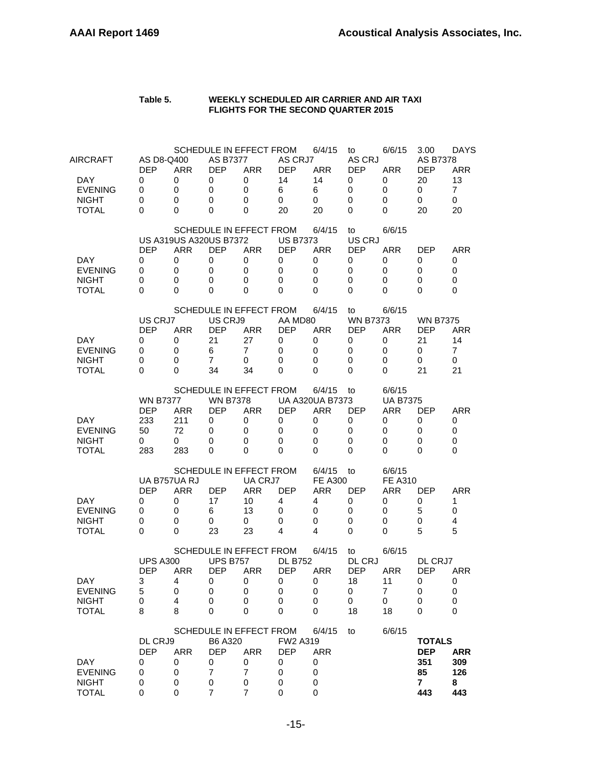| Table 5. | WEEKLY SCHEDULED AIR CARRIER AND AIR TAXI  |
|----------|--------------------------------------------|
|          | <b>FLIGHTS FOR THE SECOND QUARTER 2015</b> |

| AIRCRAFT<br><b>DAY</b><br><b>EVENING</b><br><b>NIGHT</b><br><b>TOTAL</b> | AS D8-Q400<br><b>DEP</b><br>0<br>0<br>0<br>0           | <b>ARR</b><br>0<br>0<br>0<br>0                           | <b>AS B7377</b><br><b>DEP</b><br>0<br>0<br>0<br>0        | SCHEDULE IN EFFECT FROM<br><b>ARR</b><br>0<br>0<br>0<br>0                           | AS CRJ7<br><b>DEP</b><br>14<br>6<br>0<br>20       | 6/4/15<br><b>ARR</b><br>14<br>6<br>$\mathbf 0$<br>20                      | to<br>AS CRJ<br><b>DEP</b><br>0<br>0<br>0<br>0          | 6/6/15<br><b>ARR</b><br>0<br>0<br>0<br>0                   | 3.00<br><b>AS B7378</b><br><b>DEP</b><br>20<br>0<br>0<br>20       | <b>DAYS</b><br>ARR<br>13<br>$\overline{7}$<br>$\mathbf 0$<br>20 |
|--------------------------------------------------------------------------|--------------------------------------------------------|----------------------------------------------------------|----------------------------------------------------------|-------------------------------------------------------------------------------------|---------------------------------------------------|---------------------------------------------------------------------------|---------------------------------------------------------|------------------------------------------------------------|-------------------------------------------------------------------|-----------------------------------------------------------------|
| DAY<br><b>EVENING</b><br><b>NIGHT</b><br><b>TOTAL</b>                    | <b>DEP</b><br>0<br>0<br>0<br>$\Omega$                  | US A319US A320US B7372<br><b>ARR</b><br>0<br>0<br>0<br>0 | <b>DEP</b><br>0<br>0<br>0<br>0                           | SCHEDULE IN EFFECT FROM<br><b>ARR</b><br>0<br>0<br>0<br>$\Omega$                    | <b>US B7373</b><br>DEP<br>0<br>0<br>0<br>$\Omega$ | 6/4/15<br><b>ARR</b><br>0<br>0<br>0<br>0                                  | to<br>US CRJ<br><b>DEP</b><br>0<br>0<br>0<br>0          | 6/6/15<br><b>ARR</b><br>0<br>0<br>0<br>0                   | <b>DEP</b><br>0<br>0<br>0<br>0                                    | <b>ARR</b><br>0<br>0<br>0<br>$\Omega$                           |
| DAY.<br><b>EVENING</b><br><b>NIGHT</b><br>TOTAL                          | US CRJ7<br><b>DEP</b><br>0<br>0<br>0<br>$\Omega$       | ARR<br>0<br>0<br>0<br>0                                  | US CRJ9<br><b>DEP</b><br>21<br>6<br>$\overline{7}$<br>34 | SCHEDULE IN EFFECT FROM<br><b>ARR</b><br>27<br>$\overline{7}$<br>0<br>34            | AA MD80<br><b>DEP</b><br>0<br>0<br>0<br>0         | 6/4/15<br><b>ARR</b><br>0<br>0<br>0<br>0                                  | to<br><b>WN B7373</b><br><b>DEP</b><br>0<br>0<br>0<br>0 | 6/6/15<br><b>ARR</b><br>0<br>0<br>0<br>0                   | <b>WN B7375</b><br><b>DEP</b><br>21<br>0<br>0<br>21               | <b>ARR</b><br>14<br>$\overline{7}$<br>$\mathbf 0$<br>21         |
| DAY<br><b>EVENING</b><br><b>NIGHT</b><br><b>TOTAL</b>                    | <b>WN B7377</b><br><b>DEP</b><br>233<br>50<br>0<br>283 | ARR<br>211<br>72<br>0<br>283                             | <b>WN B7378</b><br><b>DEP</b><br>0<br>0<br>0<br>0        | SCHEDULE IN EFFECT FROM<br><b>ARR</b><br>0<br>0<br>0<br>0                           | <b>DEP</b><br>0<br>0<br>0<br>0                    | 6/4/15<br><b>UA A320UA B7373</b><br><b>ARR</b><br>0<br>0<br>0<br>$\Omega$ | to<br><b>DEP</b><br>0<br>0<br>0<br>0                    | 6/6/15<br><b>UA B7375</b><br>ARR<br>0<br>0<br>0<br>0       | <b>DEP</b><br>0<br>0<br>0<br>0                                    | <b>ARR</b><br>0<br>0<br>0<br>$\Omega$                           |
| <b>DAY</b><br><b>EVENING</b><br><b>NIGHT</b><br><b>TOTAL</b>             | <b>DEP</b><br>0<br>0<br>0<br>$\Omega$                  | UA B757UA RJ<br><b>ARR</b><br>0<br>0<br>0<br>0           | <b>DEP</b><br>17<br>6<br>0<br>23                         | SCHEDULE IN EFFECT FROM<br>UA CRJ7<br><b>ARR</b><br>10<br>13<br>0<br>23             | <b>DEP</b><br>4<br>0<br>0<br>4                    | 6/4/15<br><b>FE A300</b><br><b>ARR</b><br>4<br>0<br>0<br>4                | to<br><b>DEP</b><br>0<br>0<br>0<br>0                    | 6/6/15<br><b>FE A310</b><br><b>ARR</b><br>0<br>0<br>0<br>0 | <b>DEP</b><br>0<br>5<br>0<br>5                                    | <b>ARR</b><br>1<br>0<br>4<br>5                                  |
| <b>DAY</b><br><b>EVENING</b><br><b>NIGHT</b><br><b>TOTAL</b>             | <b>UPS A300</b><br><b>DEP</b><br>3<br>5<br>0<br>8      | <b>ARR</b><br>4<br>0<br>4<br>8                           | <b>UPS B757</b><br><b>DEP</b><br>0<br>0<br>0<br>0        | <b>SCHEDULE IN EFFECT FROM</b><br><b>ARR</b><br>0<br>0<br>0<br>$\mathbf 0$          | <b>DL B752</b><br><b>DEP</b><br>0<br>0<br>0<br>0  | 6/4/15<br><b>ARR</b><br>0<br>0<br>0<br>0                                  | to<br><b>DL CRJ</b><br><b>DEP</b><br>18<br>0<br>0<br>18 | 6/6/15<br><b>ARR</b><br>11<br>7<br>0<br>18                 | DL CRJ7<br><b>DEP</b><br>0<br>0<br>0<br>$\mathbf 0$               | <b>ARR</b><br>0<br>0<br>0<br>0                                  |
| DAY<br><b>EVENING</b><br><b>NIGHT</b><br><b>TOTAL</b>                    | DL CRJ9<br><b>DEP</b><br>0<br>0<br>0<br>0              | <b>ARR</b><br>0<br>0<br>0<br>0                           | B6 A320<br><b>DEP</b><br>0<br>7<br>0<br>$\overline{7}$   | SCHEDULE IN EFFECT FROM<br><b>ARR</b><br>0<br>$\overline{7}$<br>0<br>$\overline{7}$ | FW2 A319<br><b>DEP</b><br>0<br>0<br>0<br>0        | 6/4/15<br><b>ARR</b><br>0<br>0<br>0<br>0                                  | to                                                      | 6/6/15                                                     | <b>TOTALS</b><br><b>DEP</b><br>351<br>85<br>$\overline{7}$<br>443 | <b>ARR</b><br>309<br>126<br>8<br>443                            |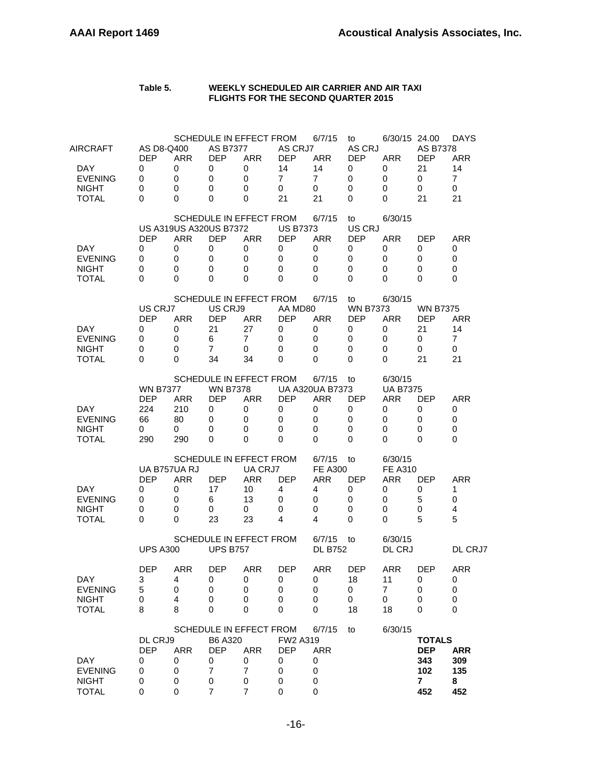#### **Table 5. WEEKLY SCHEDULED AIR CARRIER AND AIR TAXI FLIGHTS FOR THE SECOND QUARTER 2015**

| DAY<br><b>EVENING</b><br><b>NIGHT</b>                              | DL CRJ9<br><b>DEP</b><br>0<br>0<br>0                   | <b>ARR</b><br>0<br>0<br>0                                | B6 A320<br><b>DEP</b><br>0<br>$\overline{7}$<br>0                         | SCHEDULE IN EFFECT FROM<br><b>ARR</b><br>0<br>$\overline{7}$<br>0             | <b>FW2 A319</b><br><b>DEP</b><br>0<br>0<br>0             | 6/7/15<br><b>ARR</b><br>0<br>0<br>0                                | to                                                      | 6/30/15                                                      | <b>TOTALS</b><br><b>DEP</b><br>343<br>102<br>$\overline{7}$ | <b>ARR</b><br>309<br>135<br>8                                |
|--------------------------------------------------------------------|--------------------------------------------------------|----------------------------------------------------------|---------------------------------------------------------------------------|-------------------------------------------------------------------------------|----------------------------------------------------------|--------------------------------------------------------------------|---------------------------------------------------------|--------------------------------------------------------------|-------------------------------------------------------------|--------------------------------------------------------------|
| DAY<br><b>EVENING</b><br><b>NIGHT</b><br><b>TOTAL</b>              | <b>DEP</b><br>3<br>5<br>0<br>8                         | <b>ARR</b><br>4<br>$\mathbf 0$<br>4<br>8                 | <b>DEP</b><br>0<br>$\mathbf 0$<br>0<br>0                                  | ARR<br>0<br>0<br>0<br>$\Omega$                                                | <b>DEP</b><br>0<br>0<br>0<br>0                           | ARR<br>0<br>0<br>0<br>0                                            | <b>DEP</b><br>18<br>0<br>0<br>18                        | <b>ARR</b><br>11<br>$\overline{7}$<br>0<br>18                | <b>DEP</b><br>0<br>$\mathbf 0$<br>0<br>0                    | ARR<br>0<br>0<br>$\mathbf 0$<br>0                            |
|                                                                    | <b>UPS A300</b>                                        |                                                          | <b>UPS B757</b>                                                           | SCHEDULE IN EFFECT FROM                                                       |                                                          | 6/7/15<br><b>DL B752</b>                                           | to                                                      | 6/30/15<br>DL CRJ                                            |                                                             | DL CRJ7                                                      |
| DAY.<br><b>EVENING</b><br><b>NIGHT</b><br><b>TOTAL</b>             | <b>DEP</b><br>0<br>0<br>0<br>0                         | UA B757UA RJ<br><b>ARR</b><br>0<br>0<br>0<br>$\Omega$    | DEP<br>17<br>6<br>0<br>23                                                 | SCHEDULE IN EFFECT FROM<br>UA CRJ7<br><b>ARR</b><br>10<br>13<br>0<br>23       | <b>DEP</b><br>4<br>0<br>0<br>4                           | 6/7/15<br><b>FE A300</b><br><b>ARR</b><br>4<br>0<br>0<br>4         | to<br><b>DEP</b><br>0<br>0<br>0<br>0                    | 6/30/15<br><b>FE A310</b><br>ARR<br>0<br>0<br>0<br>$\Omega$  | <b>DEP</b><br>0<br>5<br>0<br>5                              | ARR<br>1<br>0<br>4<br>5                                      |
| DAY.<br><b>EVENING</b><br><b>NIGHT</b><br><b>TOTAL</b>             | <b>WN B7377</b><br><b>DEP</b><br>224<br>66<br>0<br>290 | <b>ARR</b><br>210<br>80<br>0<br>290                      | <b>WN B7378</b><br><b>DEP</b><br>0<br>0<br>0<br>0                         | SCHEDULE IN EFFECT FROM<br><b>ARR</b><br>0<br>0<br>0<br>$\Omega$              | <b>DEP</b><br>0<br>0<br>0<br>0                           | 6/7/15<br>UA A320UA B7373<br><b>ARR</b><br>0<br>0<br>0<br>$\Omega$ | to<br><b>DEP</b><br>0<br>0<br>0<br>0                    | 6/30/15<br><b>UA B7375</b><br><b>ARR</b><br>0<br>0<br>0<br>0 | <b>DEP</b><br>0<br>0<br>0<br>0                              | <b>ARR</b><br>0<br>0<br>0<br>0                               |
| DAY.<br><b>EVENING</b><br><b>NIGHT</b><br><b>TOTAL</b>             | US CRJ7<br><b>DEP</b><br>0<br>0<br>0<br>0              | <b>ARR</b><br>0<br>0<br>0<br>0                           | US CRJ9<br><b>DEP</b><br>21<br>6<br>$\overline{7}$<br>34                  | SCHEDULE IN EFFECT FROM<br>ARR<br>27<br>$\overline{7}$<br>0<br>34             | AA MD80<br><b>DEP</b><br>0<br>0<br>0<br>0                | 6/7/15<br>ARR<br>0<br>0<br>0<br>0                                  | to<br><b>WN B7373</b><br><b>DEP</b><br>0<br>0<br>0<br>0 | 6/30/15<br><b>ARR</b><br>0<br>0<br>0<br>0                    | <b>WN B7375</b><br><b>DEP</b><br>21<br>0<br>0<br>21         | <b>ARR</b><br>14<br>7<br>0<br>21                             |
| <b>DAY</b><br><b>EVENING</b><br><b>NIGHT</b><br><b>TOTAL</b>       | <b>DEP</b><br>0<br>0<br>0<br>0                         | US A319US A320US B7372<br><b>ARR</b><br>0<br>0<br>0<br>0 | <b>DEP</b><br>0<br>0<br>0<br>0                                            | SCHEDULE IN EFFECT FROM<br><b>ARR</b><br>0<br>0<br>0<br>0                     | <b>US B7373</b><br><b>DEP</b><br>0<br>0<br>0<br>0        | 6/7/15<br><b>ARR</b><br>0<br>0<br>0<br>0                           | to<br>US CRJ<br><b>DEP</b><br>0<br>0<br>0<br>0          | 6/30/15<br><b>ARR</b><br>0<br>0<br>0<br>0                    | <b>DEP</b><br>0<br>0<br>0<br>0                              | <b>ARR</b><br>0<br>0<br>$\mathbf 0$<br>0                     |
| AIRCRAFT<br>DAY.<br><b>EVENING</b><br><b>NIGHT</b><br><b>TOTAL</b> | AS D8-Q400<br><b>DEP</b><br>0<br>0<br>0<br>0           | <b>ARR</b><br>0<br>$\mathbf 0$<br>$\mathbf 0$<br>0       | <b>AS B7377</b><br><b>DEP</b><br>0<br>$\mathbf 0$<br>$\Omega$<br>$\Omega$ | SCHEDULE IN EFFECT FROM<br><b>ARR</b><br>0<br>$\mathbf 0$<br>$\mathbf 0$<br>0 | AS CRJ7<br><b>DEP</b><br>14<br>$\overline{7}$<br>0<br>21 | 6/7/15<br><b>ARR</b><br>14<br>$\overline{7}$<br>0<br>21            | to<br>AS CRJ<br><b>DEP</b><br>0<br>0<br>0<br>0          | 6/30/15 24.00<br><b>ARR</b><br>0<br>0<br>0<br>0              | AS B7378<br><b>DEP</b><br>21<br>0<br>0<br>21                | <b>DAYS</b><br><b>ARR</b><br>14<br>$\overline{7}$<br>0<br>21 |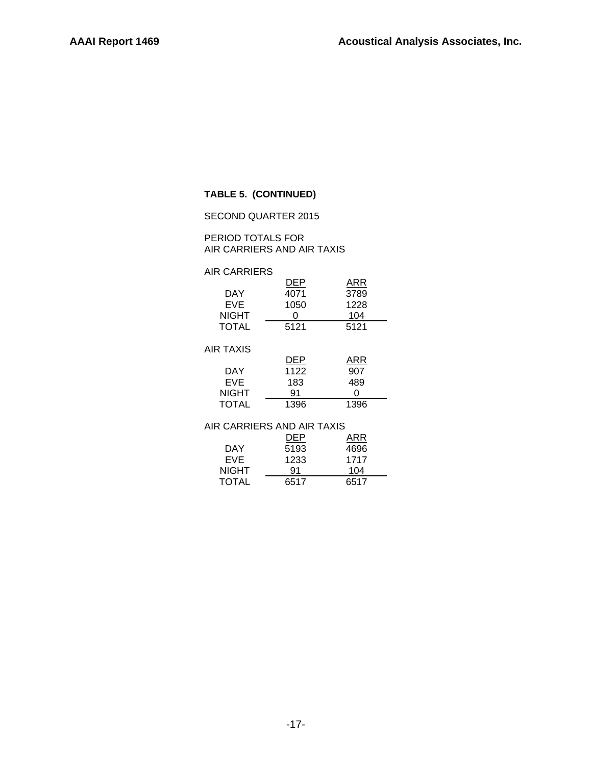## **TABLE 5. (CONTINUED)**

## SECOND QUARTER 2015

PERIOD TOTALS FOR AIR CARRIERS AND AIR TAXIS

## AIR CARRIERS

| DAY          | DEP<br>4071 | ARR<br>3789 |
|--------------|-------------|-------------|
| EVE          | 1050        | 1228        |
| <b>NIGHT</b> |             | 104         |
| <b>TOTAL</b> | 5121        | 5121        |
| AIR TAXIS    |             |             |
|              | DEP         | ARR         |
| DAY          | 1122        | 907         |
| EVE          | 183         | 489         |
| NIGHT        | 91          |             |
| TOTAL        | 1396        | 1396        |

#### AIR CARRIERS AND AIR TAXIS

|              | DEP  | ARR  |
|--------------|------|------|
| DAY          | 5193 | 4696 |
| EVE.         | 1233 | 1717 |
| NIGHT        | 91   | 104  |
| <b>TOTAL</b> | 6517 | 6517 |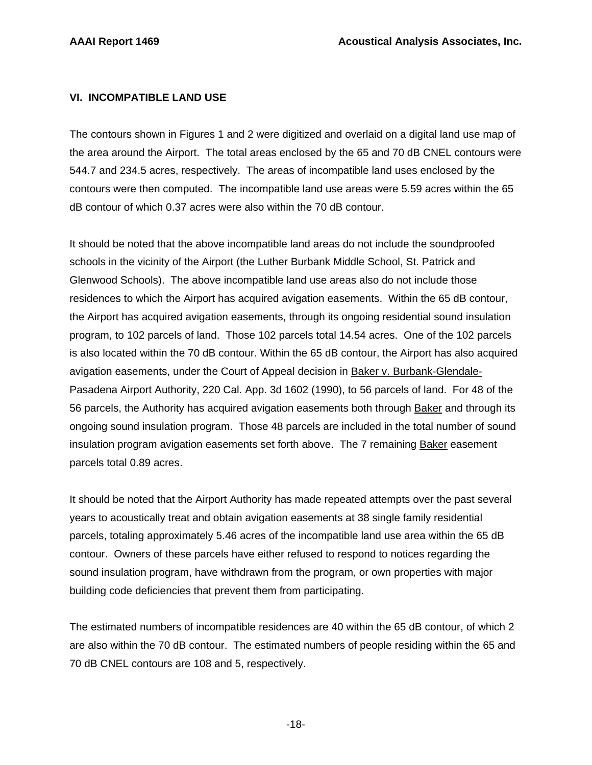## **VI. INCOMPATIBLE LAND USE**

The contours shown in Figures 1 and 2 were digitized and overlaid on a digital land use map of the area around the Airport. The total areas enclosed by the 65 and 70 dB CNEL contours were 544.7 and 234.5 acres, respectively. The areas of incompatible land uses enclosed by the contours were then computed. The incompatible land use areas were 5.59 acres within the 65 dB contour of which 0.37 acres were also within the 70 dB contour.

It should be noted that the above incompatible land areas do not include the soundproofed schools in the vicinity of the Airport (the Luther Burbank Middle School, St. Patrick and Glenwood Schools). The above incompatible land use areas also do not include those residences to which the Airport has acquired avigation easements. Within the 65 dB contour, the Airport has acquired avigation easements, through its ongoing residential sound insulation program, to 102 parcels of land. Those 102 parcels total 14.54 acres. One of the 102 parcels is also located within the 70 dB contour. Within the 65 dB contour, the Airport has also acquired avigation easements, under the Court of Appeal decision in Baker v. Burbank-Glendale-Pasadena Airport Authority, 220 Cal. App. 3d 1602 (1990), to 56 parcels of land. For 48 of the 56 parcels, the Authority has acquired avigation easements both through Baker and through its ongoing sound insulation program. Those 48 parcels are included in the total number of sound insulation program avigation easements set forth above. The 7 remaining Baker easement parcels total 0.89 acres.

It should be noted that the Airport Authority has made repeated attempts over the past several years to acoustically treat and obtain avigation easements at 38 single family residential parcels, totaling approximately 5.46 acres of the incompatible land use area within the 65 dB contour. Owners of these parcels have either refused to respond to notices regarding the sound insulation program, have withdrawn from the program, or own properties with major building code deficiencies that prevent them from participating.

The estimated numbers of incompatible residences are 40 within the 65 dB contour, of which 2 are also within the 70 dB contour. The estimated numbers of people residing within the 65 and 70 dB CNEL contours are 108 and 5, respectively.

-18-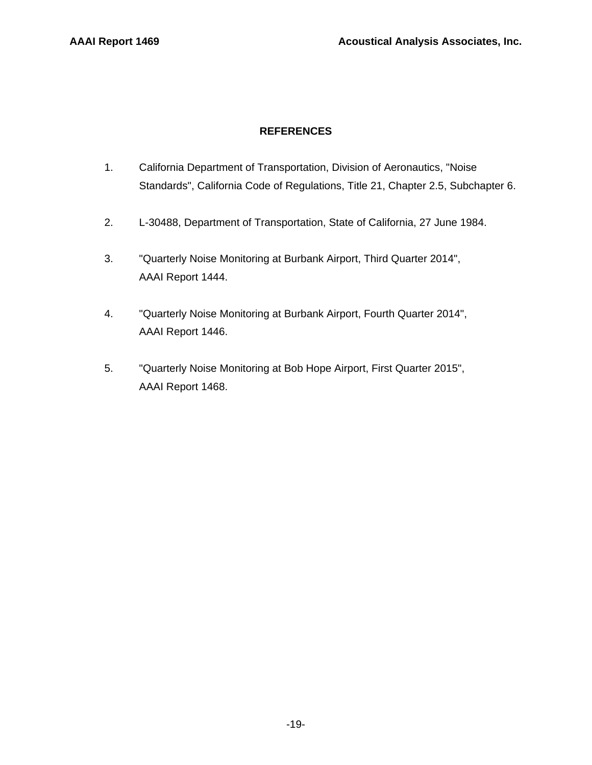## **REFERENCES**

- 1. California Department of Transportation, Division of Aeronautics, "Noise Standards", California Code of Regulations, Title 21, Chapter 2.5, Subchapter 6.
- 2. L-30488, Department of Transportation, State of California, 27 June 1984.
- 3. "Quarterly Noise Monitoring at Burbank Airport, Third Quarter 2014", AAAI Report 1444.
- 4. "Quarterly Noise Monitoring at Burbank Airport, Fourth Quarter 2014", AAAI Report 1446.
- 5. "Quarterly Noise Monitoring at Bob Hope Airport, First Quarter 2015", AAAI Report 1468.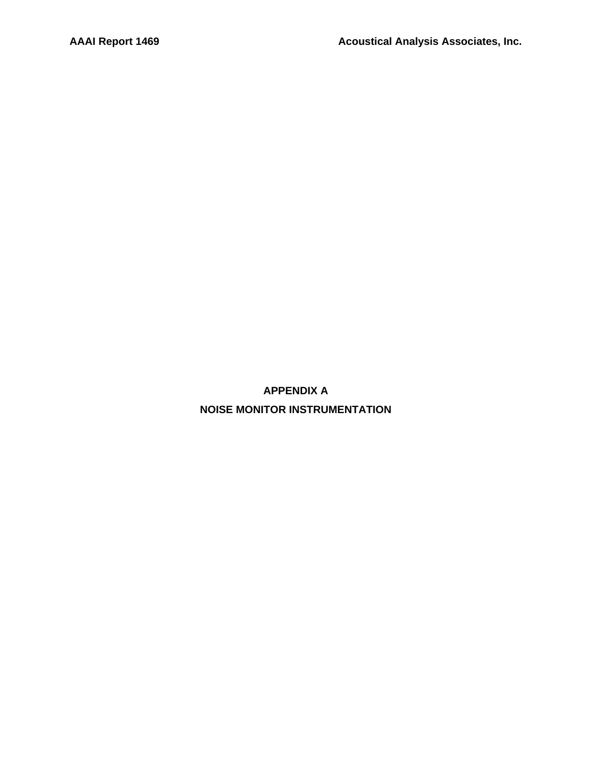**APPENDIX A NOISE MONITOR INSTRUMENTATION**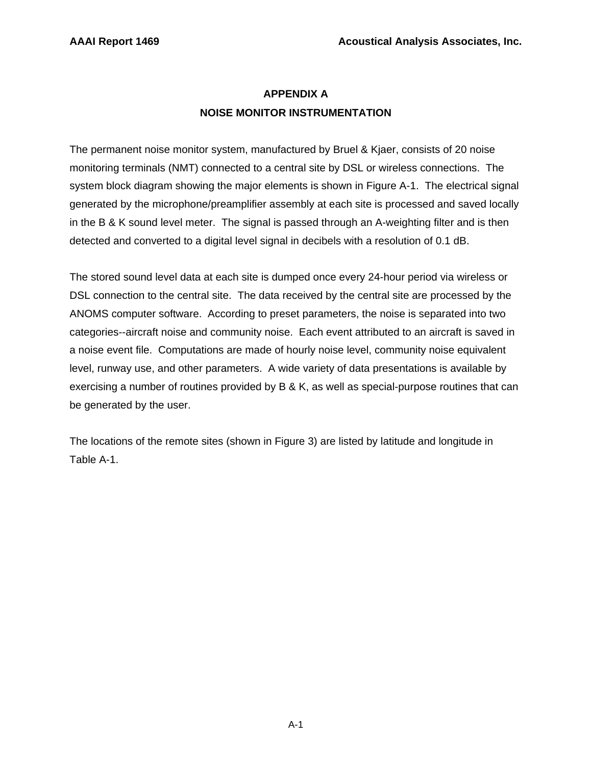# **APPENDIX A NOISE MONITOR INSTRUMENTATION**

The permanent noise monitor system, manufactured by Bruel & Kjaer, consists of 20 noise monitoring terminals (NMT) connected to a central site by DSL or wireless connections. The system block diagram showing the major elements is shown in Figure A-1. The electrical signal generated by the microphone/preamplifier assembly at each site is processed and saved locally in the B & K sound level meter. The signal is passed through an A-weighting filter and is then detected and converted to a digital level signal in decibels with a resolution of 0.1 dB.

The stored sound level data at each site is dumped once every 24-hour period via wireless or DSL connection to the central site. The data received by the central site are processed by the ANOMS computer software. According to preset parameters, the noise is separated into two categories--aircraft noise and community noise. Each event attributed to an aircraft is saved in a noise event file. Computations are made of hourly noise level, community noise equivalent level, runway use, and other parameters. A wide variety of data presentations is available by exercising a number of routines provided by B & K, as well as special-purpose routines that can be generated by the user.

The locations of the remote sites (shown in Figure 3) are listed by latitude and longitude in Table A-1.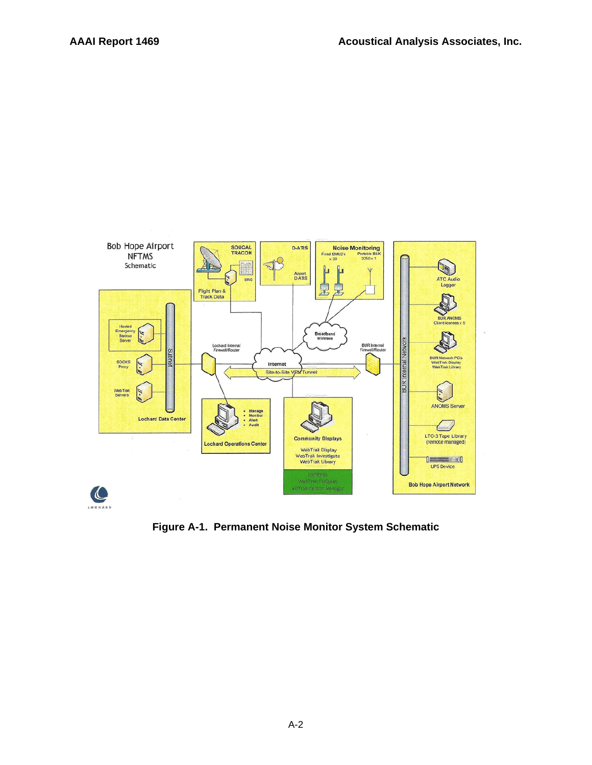

**Figure A-1. Permanent Noise Monitor System Schematic**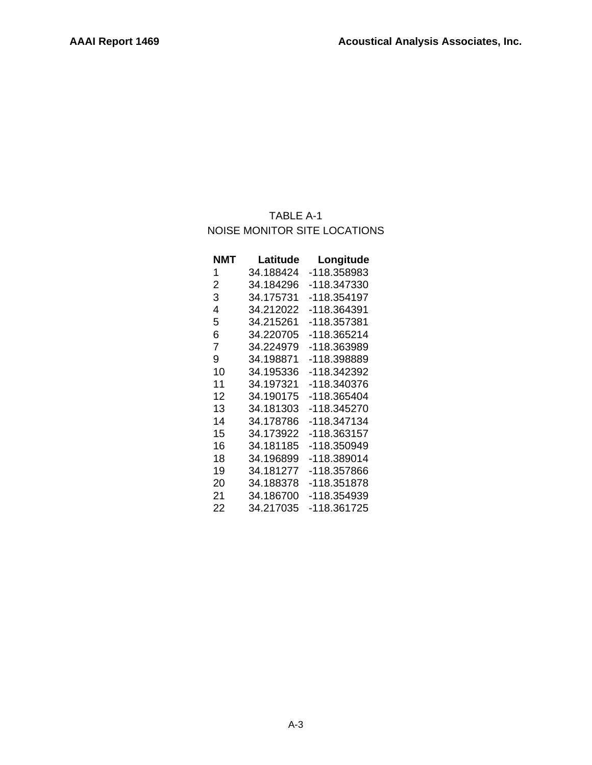# TABLE A-1 NOISE MONITOR SITE LOCATIONS

| NMT | Latitude  | Longitude   |
|-----|-----------|-------------|
| 1   | 34.188424 | -118.358983 |
| 2   | 34.184296 | -118.347330 |
| 3   | 34.175731 | -118.354197 |
| 4   | 34.212022 | -118.364391 |
| 5   | 34.215261 | -118.357381 |
| 6   | 34.220705 | -118.365214 |
| 7   | 34.224979 | -118.363989 |
| 9   | 34.198871 | -118.398889 |
| 10  | 34.195336 | -118.342392 |
| 11  | 34.197321 | -118.340376 |
| 12  | 34.190175 | -118.365404 |
| 13  | 34.181303 | -118.345270 |
| 14  | 34.178786 | -118.347134 |
| 15  | 34.173922 | -118.363157 |
| 16  | 34.181185 | -118.350949 |
| 18  | 34.196899 | -118.389014 |
| 19  | 34.181277 | -118.357866 |
| 20  | 34.188378 | -118.351878 |
| 21  | 34.186700 | -118.354939 |
| 22  | 34.217035 | -118.361725 |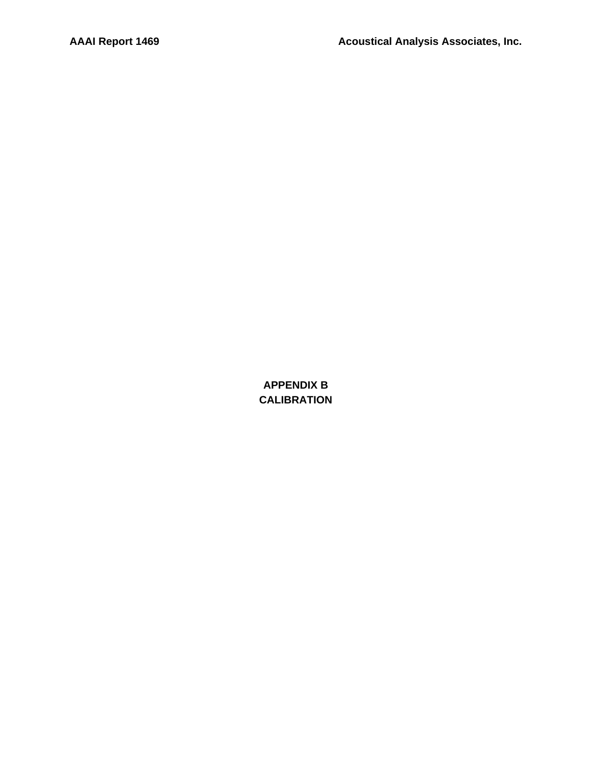**APPENDIX B CALIBRATION**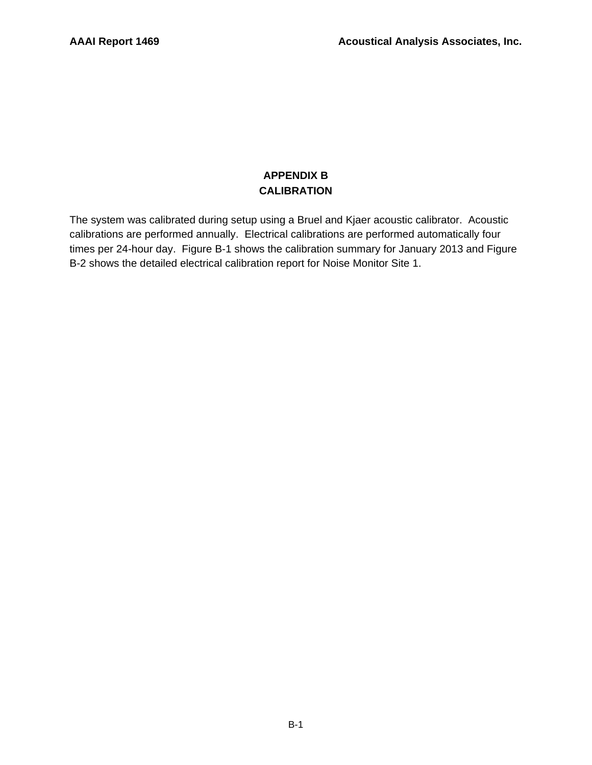## **APPENDIX B CALIBRATION**

The system was calibrated during setup using a Bruel and Kjaer acoustic calibrator. Acoustic calibrations are performed annually. Electrical calibrations are performed automatically four times per 24-hour day. Figure B-1 shows the calibration summary for January 2013 and Figure B-2 shows the detailed electrical calibration report for Noise Monitor Site 1.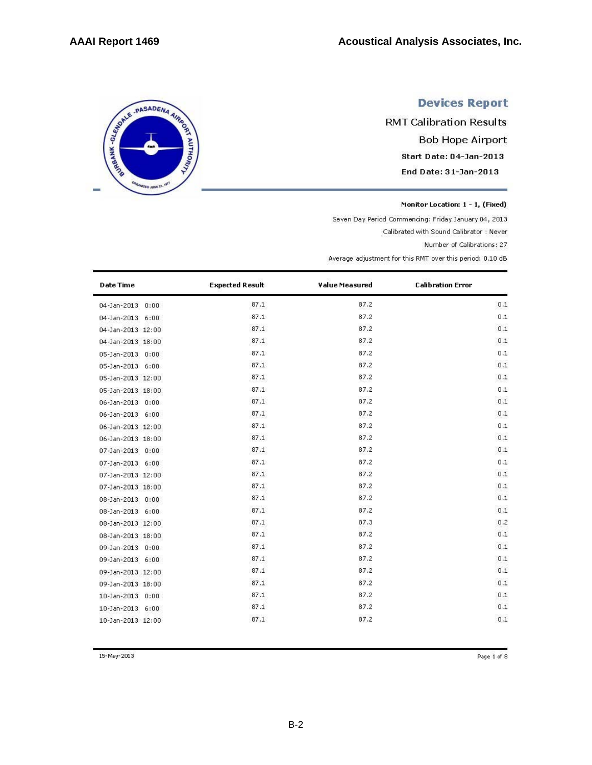# SERIE - PASADENA AIRING ED JUNE 21

# **Devices Report**

**RMT Calibration Results Bob Hope Airport** Start Date: 04-Jan-2013 End Date: 31-Jan-2013

Monitor Location: 1 - 1, (Fixed)

Seven Day Period Commencing: Friday January 04, 2013

Calibrated with Sound Calibrator : Never

Number of Calibrations: 27

Average adjustment for this RMT over this period: 0.10 dB

| <b>Date Time</b>  | <b>Expected Result</b> | Value Measured | <b>Calibration Error</b> |
|-------------------|------------------------|----------------|--------------------------|
| 04-Jan-2013 0:00  | 87.1                   | 87.2           | 0.1                      |
| 04-Jan-2013 6:00  | 87.1                   | 87.2           | 0.1                      |
| 04-Jan-2013 12:00 | 87.1                   | 87.2           | 0.1                      |
| 04-Jan-2013 18:00 | 87.1                   | 87.2           | 0.1                      |
| 05-Jan-2013 0:00  | 87.1                   | 87.2           | 0.1                      |
| 05-Jan-2013 6:00  | 87.1                   | 87.2           | 0.1                      |
| 05-Jan-2013 12:00 | 87.1                   | 87.2           | 0.1                      |
| 05-Jan-2013 18:00 | 87.1                   | 87.2           | 0.1                      |
| 06-Jan-2013 0:00  | 87.1                   | 87.2           | 0.1                      |
| 06-Jan-2013 6:00  | 87.1                   | 87.2           | 0.1                      |
| 06-Jan-2013 12:00 | 87.1                   | 87.2           | 0.1                      |
| 06-Jan-2013 18:00 | 87.1                   | 87.2           | 0.1                      |
| 07-Jan-2013 0:00  | 87.1                   | 87.2           | 0.1                      |
| 07-Jan-2013 6:00  | 87.1                   | 87.2           | 0.1                      |
| 07-Jan-2013 12:00 | 87.1                   | 87.2           | 0.1                      |
| 07-Jan-2013 18:00 | 87.1                   | 87.2           | 0.1                      |
| 08-Jan-2013 0:00  | 87.1                   | 87.2           | 0.1                      |
| 08-Jan-2013 6:00  | 87.1                   | 87.2           | 0.1                      |
| 08-Jan-2013 12:00 | 87.1                   | 87.3           | 0.2                      |
| 08-Jan-2013 18:00 | 87.1                   | 87.2           | 0.1                      |
| 09-Jan-2013 0:00  | 87.1                   | 87.2           | 0.1                      |
| 09-Jan-2013 6:00  | 87.1                   | 87.2           | 0.1                      |
| 09-Jan-2013 12:00 | 87.1                   | 87.2           | 0.1                      |
| 09-Jan-2013 18:00 | 87.1                   | 87.2           | 0.1                      |
| 10-Jan-2013 0:00  | 87.1                   | 87.2           | 0.1                      |
| 10-Jan-2013 6:00  | 87.1                   | 87.2           | 0.1                      |
| 10-Jan-2013 12:00 | 87.1                   | 87.2           | 0.1                      |

15-May-2013

Page 1 of 8